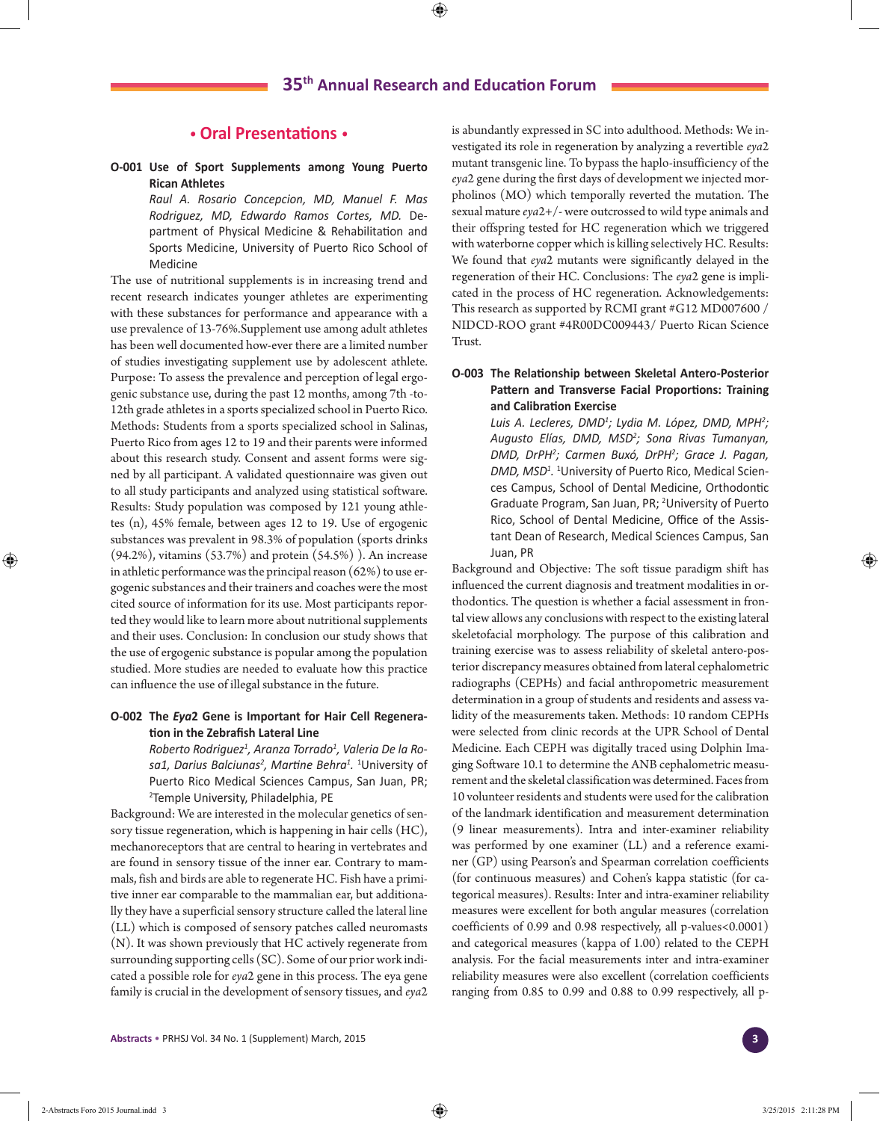# **• Oral Presentations •**

**O-001 Use of Sport Supplements among Young Puerto Rican Athletes**

> *Raul A. Rosario Concepcion, MD, Manuel F. Mas Rodriguez, MD, Edwardo Ramos Cortes, MD.* Department of Physical Medicine & Rehabilitation and Sports Medicine, University of Puerto Rico School of Medicine

The use of nutritional supplements is in increasing trend and recent research indicates younger athletes are experimenting with these substances for performance and appearance with a use prevalence of 13-76%.Supplement use among adult athletes has been well documented how-ever there are a limited number of studies investigating supplement use by adolescent athlete. Purpose: To assess the prevalence and perception of legal ergogenic substance use, during the past 12 months, among 7th -to-12th grade athletes in a sports specialized school in Puerto Rico. Methods: Students from a sports specialized school in Salinas, Puerto Rico from ages 12 to 19 and their parents were informed about this research study. Consent and assent forms were signed by all participant. A validated questionnaire was given out to all study participants and analyzed using statistical software. Results: Study population was composed by 121 young athletes (n), 45% female, between ages 12 to 19. Use of ergogenic substances was prevalent in 98.3% of population (sports drinks (94.2%), vitamins (53.7%) and protein (54.5%) ). An increase in athletic performance was the principal reason (62%) to use ergogenic substances and their trainers and coaches were the most cited source of information for its use. Most participants reported they would like to learn more about nutritional supplements and their uses. Conclusion: In conclusion our study shows that the use of ergogenic substance is popular among the population studied. More studies are needed to evaluate how this practice can influence the use of illegal substance in the future.

### **O-002 The** *Eya***2 Gene is Important for Hair Cell Regeneration in the Zebrafish Lateral Line**

*Roberto Rodriguez1 , Aranza Torrado1 , Valeria De la Rosa1, Darius Balciunas2 , Martine Behra<sup>1</sup> .* 1 University of Puerto Rico Medical Sciences Campus, San Juan, PR; 2 Temple University, Philadelphia, PE

Background: We are interested in the molecular genetics of sensory tissue regeneration, which is happening in hair cells (HC), mechanoreceptors that are central to hearing in vertebrates and are found in sensory tissue of the inner ear. Contrary to mammals, fish and birds are able to regenerate HC. Fish have a primitive inner ear comparable to the mammalian ear, but additionally they have a superficial sensory structure called the lateral line (LL) which is composed of sensory patches called neuromasts (N). It was shown previously that HC actively regenerate from surrounding supporting cells (SC). Some of our prior work indicated a possible role for *eya*2 gene in this process. The eya gene family is crucial in the development of sensory tissues, and *eya*2 is abundantly expressed in SC into adulthood. Methods: We investigated its role in regeneration by analyzing a revertible *eya*2 mutant transgenic line. To bypass the haplo-insufficiency of the *eya*2 gene during the first days of development we injected morpholinos (MO) which temporally reverted the mutation. The sexual mature *eya*2+/- were outcrossed to wild type animals and their offspring tested for HC regeneration which we triggered with waterborne copper which is killing selectively HC. Results: We found that *eya*2 mutants were significantly delayed in the regeneration of their HC. Conclusions: The *eya*2 gene is implicated in the process of HC regeneration. Acknowledgements: This research as supported by RCMI grant #G12 MD007600 / NIDCD-ROO grant #4R00DC009443/ Puerto Rican Science Trust.

## **O-003 The Relationship between Skeletal Antero-Posterior Pattern and Transverse Facial Proportions: Training and Calibration Exercise**

*Luis A. Lecleres, DMD1 ; Lydia M. López, DMD, MPH2 ; Augusto Elías, DMD, MSD2 ; Sona Rivas Tumanyan, DMD, DrPH2 ; Carmen Buxó, DrPH2 ; Grace J. Pagan, DMD, MSD1 .* 1 University of Puerto Rico, Medical Sciences Campus, School of Dental Medicine, Orthodontic Graduate Program, San Juan, PR; <sup>2</sup>University of Puerto Rico, School of Dental Medicine, Office of the Assistant Dean of Research, Medical Sciences Campus, San Juan, PR

Background and Objective: The soft tissue paradigm shift has influenced the current diagnosis and treatment modalities in orthodontics. The question is whether a facial assessment in frontal view allows any conclusions with respect to the existing lateral skeletofacial morphology. The purpose of this calibration and training exercise was to assess reliability of skeletal antero-posterior discrepancy measures obtained from lateral cephalometric radiographs (CEPHs) and facial anthropometric measurement determination in a group of students and residents and assess validity of the measurements taken. Methods: 10 random CEPHs were selected from clinic records at the UPR School of Dental Medicine. Each CEPH was digitally traced using Dolphin Imaging Software 10.1 to determine the ANB cephalometric measurement and the skeletal classification was determined. Faces from 10 volunteer residents and students were used for the calibration of the landmark identification and measurement determination (9 linear measurements). Intra and inter-examiner reliability was performed by one examiner (LL) and a reference examiner (GP) using Pearson's and Spearman correlation coefficients (for continuous measures) and Cohen's kappa statistic (for categorical measures). Results: Inter and intra-examiner reliability measures were excellent for both angular measures (correlation coefficients of 0.99 and 0.98 respectively, all p-values<0.0001) and categorical measures (kappa of 1.00) related to the CEPH analysis. For the facial measurements inter and intra-examiner reliability measures were also excellent (correlation coefficients ranging from 0.85 to 0.99 and 0.88 to 0.99 respectively, all p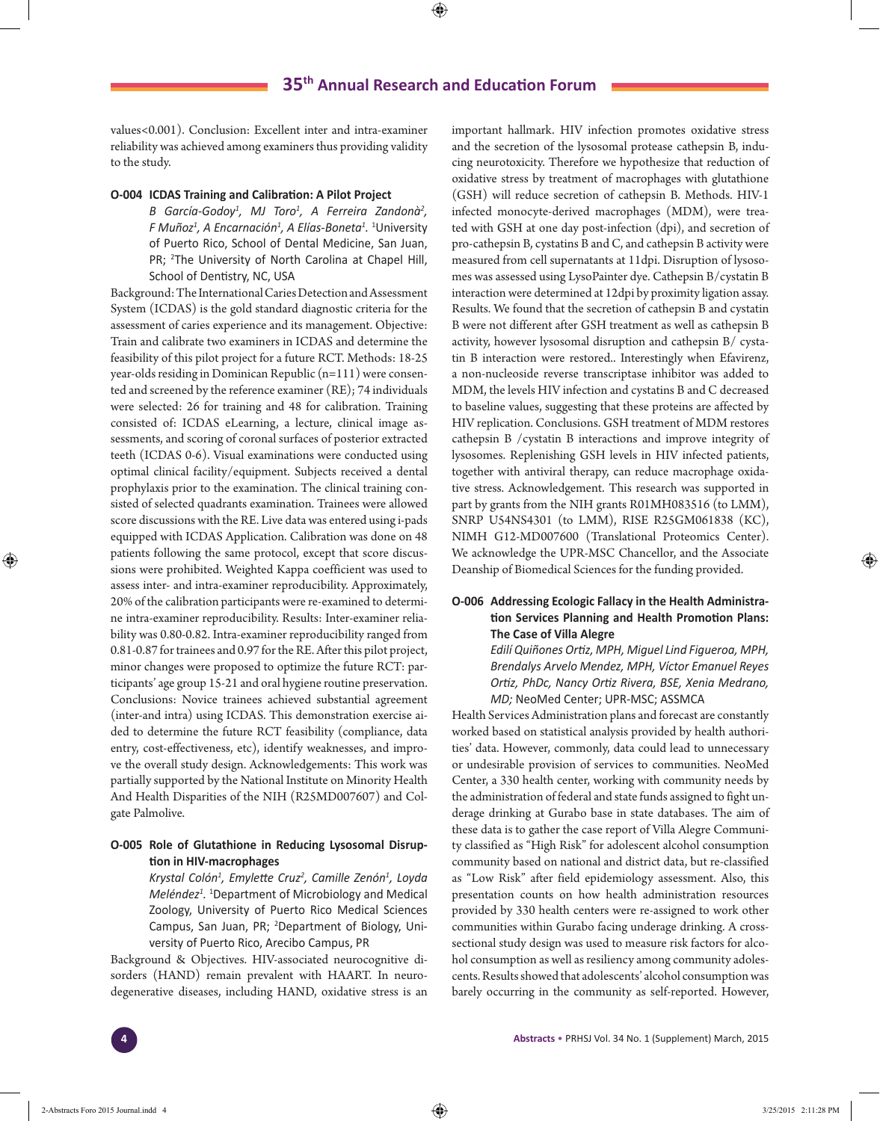values<0.001). Conclusion: Excellent inter and intra-examiner reliability was achieved among examiners thus providing validity to the study.

#### **O-004 ICDAS Training and Calibration: A Pilot Project**

B García-Godoy<sup>1</sup>, MJ Toro<sup>1</sup>, A Ferreira Zandonà<sup>2</sup>, *F Muñoz1 , A Encarnación1 , A Elías-Boneta1 .* 1 University of Puerto Rico, School of Dental Medicine, San Juan, PR; <sup>2</sup>The University of North Carolina at Chapel Hill, School of Dentistry, NC, USA

Background: The International Caries Detection and Assessment System (ICDAS) is the gold standard diagnostic criteria for the assessment of caries experience and its management. Objective: Train and calibrate two examiners in ICDAS and determine the feasibility of this pilot project for a future RCT. Methods: 18-25 year-olds residing in Dominican Republic (n=111) were consented and screened by the reference examiner (RE); 74 individuals were selected: 26 for training and 48 for calibration. Training consisted of: ICDAS eLearning, a lecture, clinical image assessments, and scoring of coronal surfaces of posterior extracted teeth (ICDAS 0-6). Visual examinations were conducted using optimal clinical facility/equipment. Subjects received a dental prophylaxis prior to the examination. The clinical training consisted of selected quadrants examination. Trainees were allowed score discussions with the RE. Live data was entered using i-pads equipped with ICDAS Application. Calibration was done on 48 patients following the same protocol, except that score discussions were prohibited. Weighted Kappa coefficient was used to assess inter- and intra-examiner reproducibility. Approximately, 20% of the calibration participants were re-examined to determine intra-examiner reproducibility. Results: Inter-examiner reliability was 0.80-0.82. Intra-examiner reproducibility ranged from 0.81-0.87 for trainees and 0.97 for the RE. After this pilot project, minor changes were proposed to optimize the future RCT: participants' age group 15-21 and oral hygiene routine preservation. Conclusions: Novice trainees achieved substantial agreement (inter-and intra) using ICDAS. This demonstration exercise aided to determine the future RCT feasibility (compliance, data entry, cost-effectiveness, etc), identify weaknesses, and improve the overall study design. Acknowledgements: This work was partially supported by the National Institute on Minority Health And Health Disparities of the NIH (R25MD007607) and Colgate Palmolive.

## **O-005 Role of Glutathione in Reducing Lysosomal Disruption in HIV-macrophages**

*Krystal Colón1 , Emylette Cruz<sup>2</sup> , Camille Zenón1 , Loyda*  Meléndez<sup>1</sup>. <sup>1</sup>Department of Microbiology and Medical Zoology, University of Puerto Rico Medical Sciences Campus, San Juan, PR; <sup>2</sup>Department of Biology, University of Puerto Rico, Arecibo Campus, PR

Background & Objectives. HIV-associated neurocognitive disorders (HAND) remain prevalent with HAART. In neurodegenerative diseases, including HAND, oxidative stress is an important hallmark. HIV infection promotes oxidative stress and the secretion of the lysosomal protease cathepsin B, inducing neurotoxicity. Therefore we hypothesize that reduction of oxidative stress by treatment of macrophages with glutathione (GSH) will reduce secretion of cathepsin B. Methods. HIV-1 infected monocyte-derived macrophages (MDM), were treated with GSH at one day post-infection (dpi), and secretion of pro-cathepsin B, cystatins B and C, and cathepsin B activity were measured from cell supernatants at 11dpi. Disruption of lysosomes was assessed using LysoPainter dye. Cathepsin B/cystatin B interaction were determined at 12dpi by proximity ligation assay. Results. We found that the secretion of cathepsin B and cystatin B were not different after GSH treatment as well as cathepsin B activity, however lysosomal disruption and cathepsin B/ cystatin B interaction were restored.. Interestingly when Efavirenz, a non-nucleoside reverse transcriptase inhibitor was added to MDM, the levels HIV infection and cystatins B and C decreased to baseline values, suggesting that these proteins are affected by HIV replication. Conclusions. GSH treatment of MDM restores cathepsin B /cystatin B interactions and improve integrity of lysosomes. Replenishing GSH levels in HIV infected patients, together with antiviral therapy, can reduce macrophage oxidative stress. Acknowledgement. This research was supported in part by grants from the NIH grants R01MH083516 (to LMM), SNRP U54NS4301 (to LMM), RISE R25GM061838 (KC), NIMH G12-MD007600 (Translational Proteomics Center). We acknowledge the UPR-MSC Chancellor, and the Associate Deanship of Biomedical Sciences for the funding provided.

### **O-006 Addressing Ecologic Fallacy in the Health Administration Services Planning and Health Promotion Plans: The Case of Villa Alegre**

*Edilí Quiñones Ortiz, MPH, Miguel Lind Figueroa, MPH, Brendalys Arvelo Mendez, MPH, Víctor Emanuel Reyes Ortiz, PhDc, Nancy Ortiz Rivera, BSE, Xenia Medrano, MD;* NeoMed Center; UPR-MSC; ASSMCA

Health Services Administration plans and forecast are constantly worked based on statistical analysis provided by health authorities' data. However, commonly, data could lead to unnecessary or undesirable provision of services to communities. NeoMed Center, a 330 health center, working with community needs by the administration of federal and state funds assigned to fight underage drinking at Gurabo base in state databases. The aim of these data is to gather the case report of Villa Alegre Community classified as "High Risk" for adolescent alcohol consumption community based on national and district data, but re-classified as "Low Risk" after field epidemiology assessment. Also, this presentation counts on how health administration resources provided by 330 health centers were re-assigned to work other communities within Gurabo facing underage drinking. A crosssectional study design was used to measure risk factors for alcohol consumption as well as resiliency among community adolescents. Results showed that adolescents' alcohol consumption was barely occurring in the community as self-reported. However,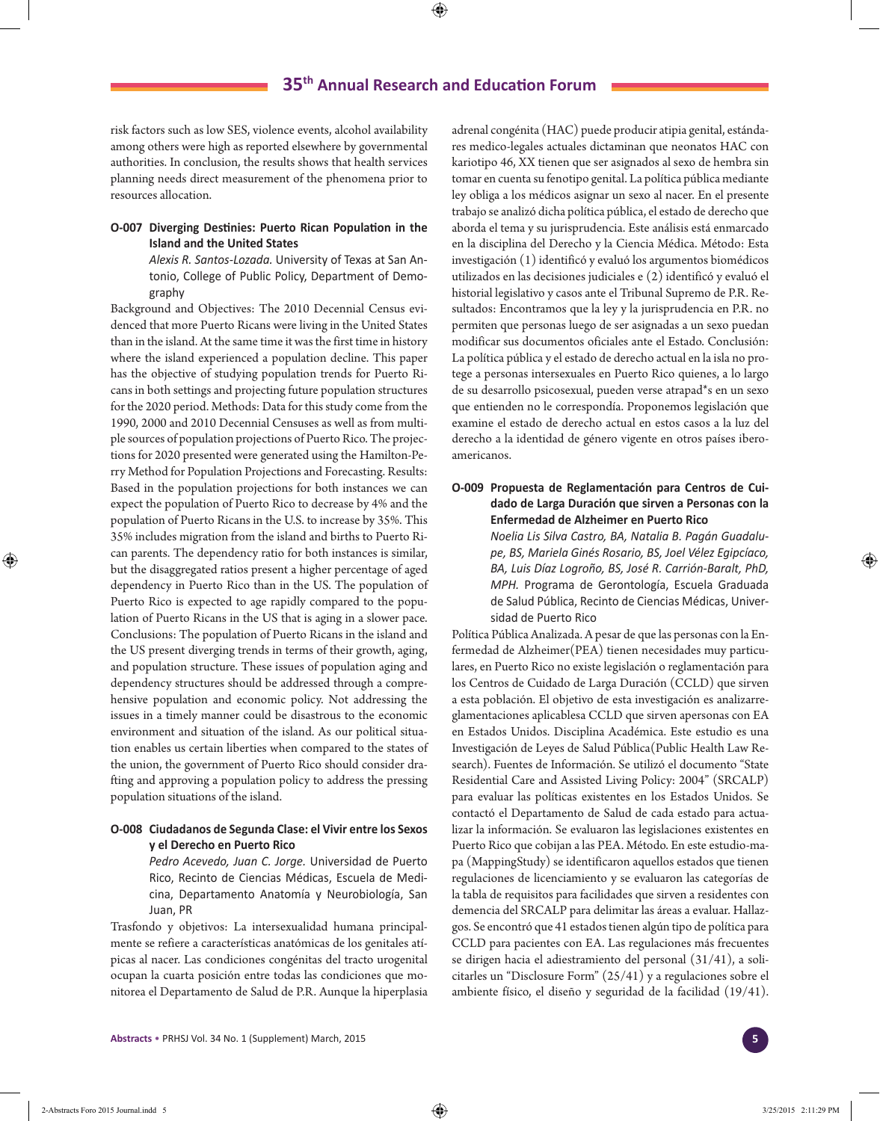risk factors such as low SES, violence events, alcohol availability among others were high as reported elsewhere by governmental authorities. In conclusion, the results shows that health services planning needs direct measurement of the phenomena prior to resources allocation.

### **O-007 Diverging Destinies: Puerto Rican Population in the Island and the United States**

*Alexis R. Santos-Lozada.* University of Texas at San Antonio, College of Public Policy, Department of Demography

Background and Objectives: The 2010 Decennial Census evidenced that more Puerto Ricans were living in the United States than in the island. At the same time it was the first time in history where the island experienced a population decline. This paper has the objective of studying population trends for Puerto Ricans in both settings and projecting future population structures for the 2020 period. Methods: Data for this study come from the 1990, 2000 and 2010 Decennial Censuses as well as from multiple sources of population projections of Puerto Rico. The projections for 2020 presented were generated using the Hamilton-Perry Method for Population Projections and Forecasting. Results: Based in the population projections for both instances we can expect the population of Puerto Rico to decrease by 4% and the population of Puerto Ricans in the U.S. to increase by 35%. This 35% includes migration from the island and births to Puerto Rican parents. The dependency ratio for both instances is similar, but the disaggregated ratios present a higher percentage of aged dependency in Puerto Rico than in the US. The population of Puerto Rico is expected to age rapidly compared to the population of Puerto Ricans in the US that is aging in a slower pace. Conclusions: The population of Puerto Ricans in the island and the US present diverging trends in terms of their growth, aging, and population structure. These issues of population aging and dependency structures should be addressed through a comprehensive population and economic policy. Not addressing the issues in a timely manner could be disastrous to the economic environment and situation of the island. As our political situation enables us certain liberties when compared to the states of the union, the government of Puerto Rico should consider drafting and approving a population policy to address the pressing population situations of the island.

### **O-008 Ciudadanos de Segunda Clase: el Vivir entre los Sexos y el Derecho en Puerto Rico**

*Pedro Acevedo, Juan C. Jorge.* Universidad de Puerto Rico, Recinto de Ciencias Médicas, Escuela de Medicina, Departamento Anatomía y Neurobiología, San Juan, PR

Trasfondo y objetivos: La intersexualidad humana principalmente se refiere a características anatómicas de los genitales atípicas al nacer. Las condiciones congénitas del tracto urogenital ocupan la cuarta posición entre todas las condiciones que monitorea el Departamento de Salud de P.R. Aunque la hiperplasia

adrenal congénita (HAC) puede producir atipia genital, estándares medico-legales actuales dictaminan que neonatos HAC con kariotipo 46, XX tienen que ser asignados al sexo de hembra sin tomar en cuenta su fenotipo genital. La política pública mediante ley obliga a los médicos asignar un sexo al nacer. En el presente trabajo se analizó dicha política pública, el estado de derecho que aborda el tema y su jurisprudencia. Este análisis está enmarcado en la disciplina del Derecho y la Ciencia Médica. Método: Esta investigación (1) identificó y evaluó los argumentos biomédicos utilizados en las decisiones judiciales e (2) identificó y evaluó el historial legislativo y casos ante el Tribunal Supremo de P.R. Resultados: Encontramos que la ley y la jurisprudencia en P.R. no permiten que personas luego de ser asignadas a un sexo puedan modificar sus documentos oficiales ante el Estado. Conclusión: La política pública y el estado de derecho actual en la isla no protege a personas intersexuales en Puerto Rico quienes, a lo largo de su desarrollo psicosexual, pueden verse atrapad\*s en un sexo que entienden no le correspondía. Proponemos legislación que examine el estado de derecho actual en estos casos a la luz del derecho a la identidad de género vigente en otros países iberoamericanos.

### **O-009 Propuesta de Reglamentación para Centros de Cuidado de Larga Duración que sirven a Personas con la Enfermedad de Alzheimer en Puerto Rico**

*Noelia Lis Silva Castro, BA, Natalia B. Pagán Guadalupe, BS, Mariela Ginés Rosario, BS, Joel Vélez Egipcíaco, BA, Luis Díaz Logroño, BS, José R. Carrión-Baralt, PhD, MPH.* Programa de Gerontología, Escuela Graduada de Salud Pública, Recinto de Ciencias Médicas, Universidad de Puerto Rico

Política Pública Analizada. A pesar de que las personas con la Enfermedad de Alzheimer(PEA) tienen necesidades muy particulares, en Puerto Rico no existe legislación o reglamentación para los Centros de Cuidado de Larga Duración (CCLD) que sirven a esta población. El objetivo de esta investigación es analizarreglamentaciones aplicablesa CCLD que sirven apersonas con EA en Estados Unidos. Disciplina Académica. Este estudio es una Investigación de Leyes de Salud Pública(Public Health Law Research). Fuentes de Información. Se utilizó el documento "State Residential Care and Assisted Living Policy: 2004" (SRCALP) para evaluar las políticas existentes en los Estados Unidos. Se contactó el Departamento de Salud de cada estado para actualizar la información. Se evaluaron las legislaciones existentes en Puerto Rico que cobijan a las PEA. Método. En este estudio-mapa (MappingStudy) se identificaron aquellos estados que tienen regulaciones de licenciamiento y se evaluaron las categorías de la tabla de requisitos para facilidades que sirven a residentes con demencia del SRCALP para delimitar las áreas a evaluar. Hallazgos. Se encontró que 41 estados tienen algún tipo de política para CCLD para pacientes con EA. Las regulaciones más frecuentes se dirigen hacia el adiestramiento del personal (31/41), a solicitarles un "Disclosure Form" (25/41) y a regulaciones sobre el ambiente físico, el diseño y seguridad de la facilidad (19/41).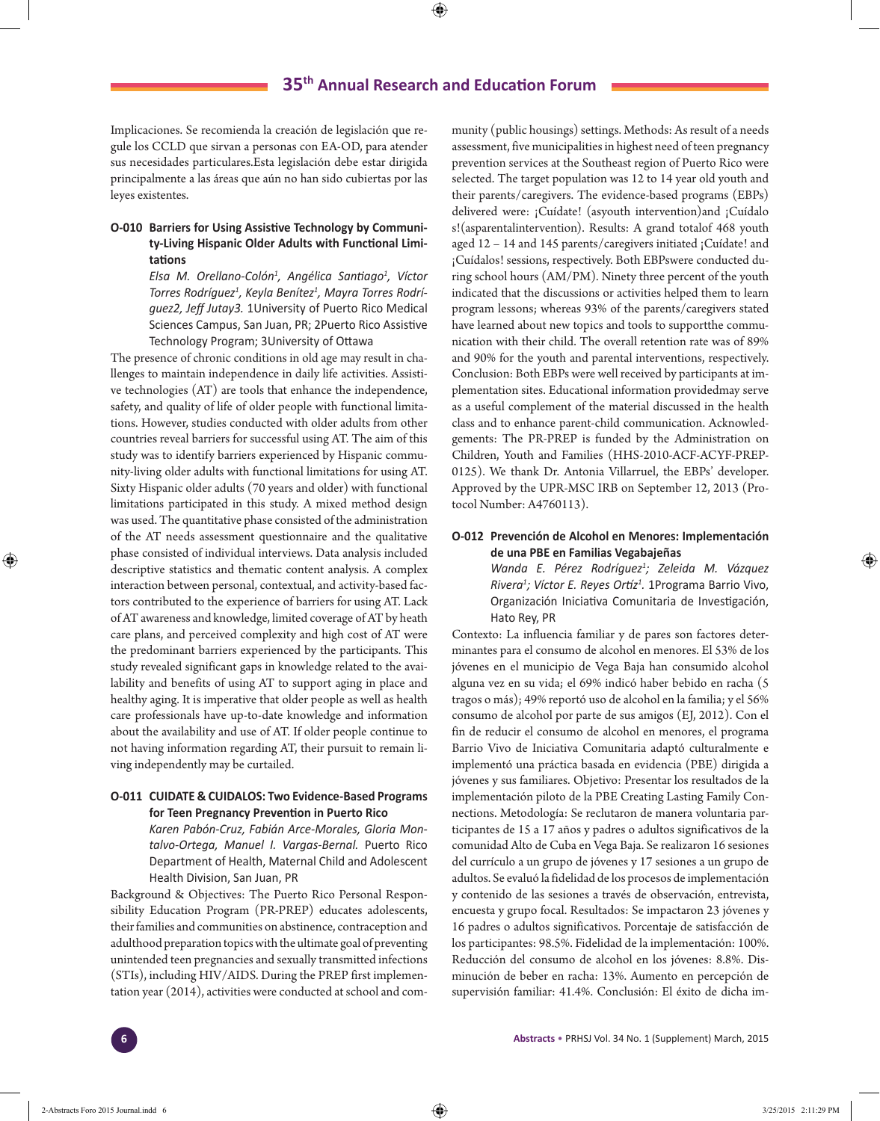Implicaciones. Se recomienda la creación de legislación que regule los CCLD que sirvan a personas con EA-OD, para atender sus necesidades particulares.Esta legislación debe estar dirigida principalmente a las áreas que aún no han sido cubiertas por las leyes existentes.

## **O-010 Barriers for Using Assistive Technology by Community-Living Hispanic Older Adults with Functional Limitations**

*Elsa M. Orellano-Colón1 , Angélica Santiago<sup>1</sup> , Víctor Torres Rodríguez1 , Keyla Benítez1 , Mayra Torres Rodríguez2, Jeff Jutay3.* 1University of Puerto Rico Medical Sciences Campus, San Juan, PR; 2Puerto Rico Assistive Technology Program; 3University of Ottawa

The presence of chronic conditions in old age may result in challenges to maintain independence in daily life activities. Assistive technologies (AT) are tools that enhance the independence, safety, and quality of life of older people with functional limitations. However, studies conducted with older adults from other countries reveal barriers for successful using AT. The aim of this study was to identify barriers experienced by Hispanic community-living older adults with functional limitations for using AT. Sixty Hispanic older adults (70 years and older) with functional limitations participated in this study. A mixed method design was used. The quantitative phase consisted of the administration of the AT needs assessment questionnaire and the qualitative phase consisted of individual interviews. Data analysis included descriptive statistics and thematic content analysis. A complex interaction between personal, contextual, and activity-based factors contributed to the experience of barriers for using AT. Lack of AT awareness and knowledge, limited coverage of AT by heath care plans, and perceived complexity and high cost of AT were the predominant barriers experienced by the participants. This study revealed significant gaps in knowledge related to the availability and benefits of using AT to support aging in place and healthy aging. It is imperative that older people as well as health care professionals have up-to-date knowledge and information about the availability and use of AT. If older people continue to not having information regarding AT, their pursuit to remain living independently may be curtailed.

### **O-011 CUIDATE & CUIDALOS: Two Evidence-Based Programs for Teen Pregnancy Prevention in Puerto Rico**

*Karen Pabón-Cruz, Fabián Arce-Morales, Gloria Montalvo-Ortega, Manuel I. Vargas-Bernal.* Puerto Rico Department of Health, Maternal Child and Adolescent Health Division, San Juan, PR

Background & Objectives: The Puerto Rico Personal Responsibility Education Program (PR-PREP) educates adolescents, their families and communities on abstinence, contraception and adulthood preparation topics with the ultimate goal of preventing unintended teen pregnancies and sexually transmitted infections (STIs), including HIV/AIDS. During the PREP first implementation year (2014), activities were conducted at school and community (public housings) settings. Methods: As result of a needs assessment, five municipalities in highest need of teen pregnancy prevention services at the Southeast region of Puerto Rico were selected. The target population was 12 to 14 year old youth and their parents/caregivers. The evidence-based programs (EBPs) delivered were: ¡Cuídate! (asyouth intervention)and ¡Cuídalo s!(asparentalintervention). Results: A grand totalof 468 youth aged 12 – 14 and 145 parents/caregivers initiated ¡Cuídate! and ¡Cuídalos! sessions, respectively. Both EBPswere conducted during school hours (AM/PM). Ninety three percent of the youth indicated that the discussions or activities helped them to learn program lessons; whereas 93% of the parents/caregivers stated have learned about new topics and tools to supportthe communication with their child. The overall retention rate was of 89% and 90% for the youth and parental interventions, respectively. Conclusion: Both EBPs were well received by participants at implementation sites. Educational information providedmay serve as a useful complement of the material discussed in the health class and to enhance parent-child communication. Acknowledgements: The PR-PREP is funded by the Administration on Children, Youth and Families (HHS-2010-ACF-ACYF-PREP-0125). We thank Dr. Antonia Villarruel, the EBPs' developer. Approved by the UPR-MSC IRB on September 12, 2013 (Protocol Number: A4760113).

### **O-012 Prevención de Alcohol en Menores: Implementación de una PBE en Familias Vegabajeñas**

*Wanda E. Pérez Rodríguez1 ; Zeleida M. Vázquez Rivera1 ; Víctor E. Reyes Ortíz<sup>1</sup> .* 1Programa Barrio Vivo, Organización Iniciativa Comunitaria de Investigación, Hato Rey, PR

Contexto: La influencia familiar y de pares son factores determinantes para el consumo de alcohol en menores. El 53% de los jóvenes en el municipio de Vega Baja han consumido alcohol alguna vez en su vida; el 69% indicó haber bebido en racha (5 tragos o más); 49% reportó uso de alcohol en la familia; y el 56% consumo de alcohol por parte de sus amigos (EJ, 2012). Con el fin de reducir el consumo de alcohol en menores, el programa Barrio Vivo de Iniciativa Comunitaria adaptó culturalmente e implementó una práctica basada en evidencia (PBE) dirigida a jóvenes y sus familiares. Objetivo: Presentar los resultados de la implementación piloto de la PBE Creating Lasting Family Connections. Metodología: Se reclutaron de manera voluntaria participantes de 15 a 17 años y padres o adultos significativos de la comunidad Alto de Cuba en Vega Baja. Se realizaron 16 sesiones del currículo a un grupo de jóvenes y 17 sesiones a un grupo de adultos. Se evaluó la fidelidad de los procesos de implementación y contenido de las sesiones a través de observación, entrevista, encuesta y grupo focal. Resultados: Se impactaron 23 jóvenes y 16 padres o adultos significativos. Porcentaje de satisfacción de los participantes: 98.5%. Fidelidad de la implementación: 100%. Reducción del consumo de alcohol en los jóvenes: 8.8%. Disminución de beber en racha: 13%. Aumento en percepción de supervisión familiar: 41.4%. Conclusión: El éxito de dicha im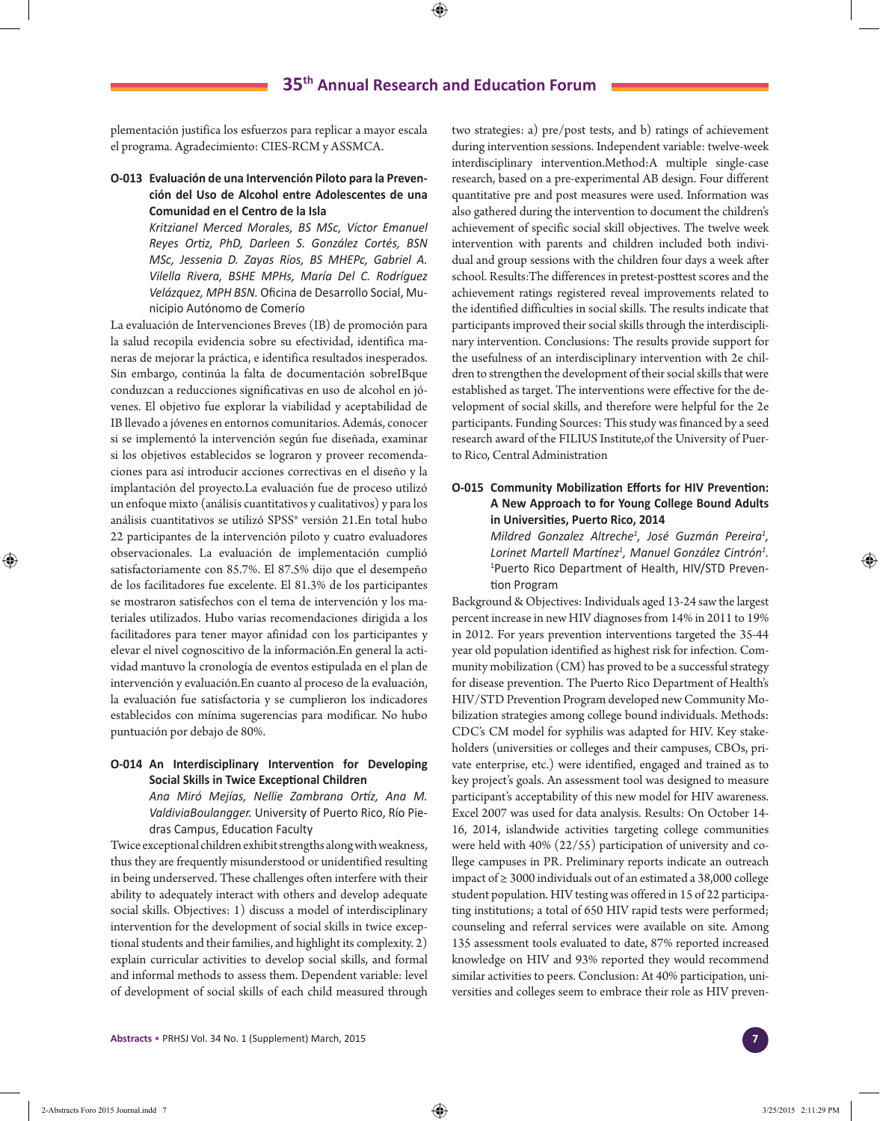plementación justifica los esfuerzos para replicar a mayor escala el programa. Agradecimiento: CIES-RCM y ASSMCA.

### **O-013 Evaluación de una Intervención Piloto para la Prevención del Uso de Alcohol entre Adolescentes de una Comunidad en el Centro de la Isla**

*Kritzianel Merced Morales, BS MSc, Víctor Emanuel Reyes Ortiz, PhD, Darleen S. González Cortés, BSN MSc, Jessenia D. Zayas Ríos, BS MHEPc, Gabriel A. Vilella Rivera, BSHE MPHs, María Del C. Rodríguez Velázquez, MPH BSN.* Oficina de Desarrollo Social, Municipio Autónomo de Comerío

La evaluación de Intervenciones Breves (IB) de promoción para la salud recopila evidencia sobre su efectividad, identifica maneras de mejorar la práctica, e identifica resultados inesperados. Sin embargo, continúa la falta de documentación sobreIBque conduzcan a reducciones significativas en uso de alcohol en jóvenes. El objetivo fue explorar la viabilidad y aceptabilidad de IB llevado a jóvenes en entornos comunitarios. Además, conocer si se implementó la intervención según fue diseñada, examinar si los objetivos establecidos se lograron y proveer recomendaciones para así introducir acciones correctivas en el diseño y la implantación del proyecto.La evaluación fue de proceso utilizó un enfoque mixto (análisis cuantitativos y cualitativos) y para los análisis cuantitativos se utilizó SPSS® versión 21.En total hubo 22 participantes de la intervención piloto y cuatro evaluadores observacionales. La evaluación de implementación cumplió satisfactoriamente con 85.7%. El 87.5% dijo que el desempeño de los facilitadores fue excelente. El 81.3% de los participantes se mostraron satisfechos con el tema de intervención y los materiales utilizados. Hubo varias recomendaciones dirigida a los facilitadores para tener mayor afinidad con los participantes y elevar el nivel cognoscitivo de la información.En general la actividad mantuvo la cronología de eventos estipulada en el plan de intervención y evaluación.En cuanto al proceso de la evaluación, la evaluación fue satisfactoria y se cumplieron los indicadores establecidos con mínima sugerencias para modificar. No hubo puntuación por debajo de 80%.

### **O-014 An Interdisciplinary Intervention for Developing Social Skills in Twice Exceptional Children**

*Ana Miró Mejías, Nellie Zambrana Ortíz, Ana M. ValdiviaBoulangger.* University of Puerto Rico, Río Piedras Campus, Education Faculty

Twice exceptional children exhibit strengths along with weakness, thus they are frequently misunderstood or unidentified resulting in being underserved. These challenges often interfere with their ability to adequately interact with others and develop adequate social skills. Objectives: 1) discuss a model of interdisciplinary intervention for the development of social skills in twice exceptional students and their families, and highlight its complexity. 2) explain curricular activities to develop social skills, and formal and informal methods to assess them. Dependent variable: level of development of social skills of each child measured through

two strategies: a) pre/post tests, and b) ratings of achievement during intervention sessions. Independent variable: twelve-week interdisciplinary intervention.Method:A multiple single-case research, based on a pre-experimental AB design. Four different quantitative pre and post measures were used. Information was also gathered during the intervention to document the children's achievement of specific social skill objectives. The twelve week intervention with parents and children included both individual and group sessions with the children four days a week after school. Results:The differences in pretest-posttest scores and the achievement ratings registered reveal improvements related to the identified difficulties in social skills. The results indicate that participants improved their social skills through the interdisciplinary intervention. Conclusions: The results provide support for the usefulness of an interdisciplinary intervention with 2e children to strengthen the development of their social skills that were established as target. The interventions were effective for the development of social skills, and therefore were helpful for the 2e participants. Funding Sources: This study was financed by a seed research award of the FILIUS Institute,of the University of Puerto Rico, Central Administration

### **O-015 Community Mobilization Efforts for HIV Prevention: A New Approach to for Young College Bound Adults in Universities, Puerto Rico, 2014**

*Mildred Gonzalez Altreche<sup>1</sup> , José Guzmán Pereira<sup>1</sup> , Lorinet Martell Martínez<sup>1</sup> , Manuel González Cintrón<sup>1</sup> .* 1 Puerto Rico Department of Health, HIV/STD Prevention Program

Background & Objectives: Individuals aged 13-24 saw the largest percent increase in new HIV diagnoses from 14% in 2011 to 19% in 2012. For years prevention interventions targeted the 35-44 year old population identified as highest risk for infection. Community mobilization (CM) has proved to be a successful strategy for disease prevention. The Puerto Rico Department of Health's HIV/STD Prevention Program developed new Community Mobilization strategies among college bound individuals. Methods: CDC's CM model for syphilis was adapted for HIV. Key stakeholders (universities or colleges and their campuses, CBOs, private enterprise, etc.) were identified, engaged and trained as to key project's goals. An assessment tool was designed to measure participant's acceptability of this new model for HIV awareness. Excel 2007 was used for data analysis. Results: On October 14- 16, 2014, islandwide activities targeting college communities were held with 40% (22/55) participation of university and college campuses in PR. Preliminary reports indicate an outreach impact of ≥ 3000 individuals out of an estimated a 38,000 college student population. HIV testing was offered in 15 of 22 participating institutions; a total of 650 HIV rapid tests were performed; counseling and referral services were available on site. Among 135 assessment tools evaluated to date, 87% reported increased knowledge on HIV and 93% reported they would recommend similar activities to peers. Conclusion: At 40% participation, universities and colleges seem to embrace their role as HIV preven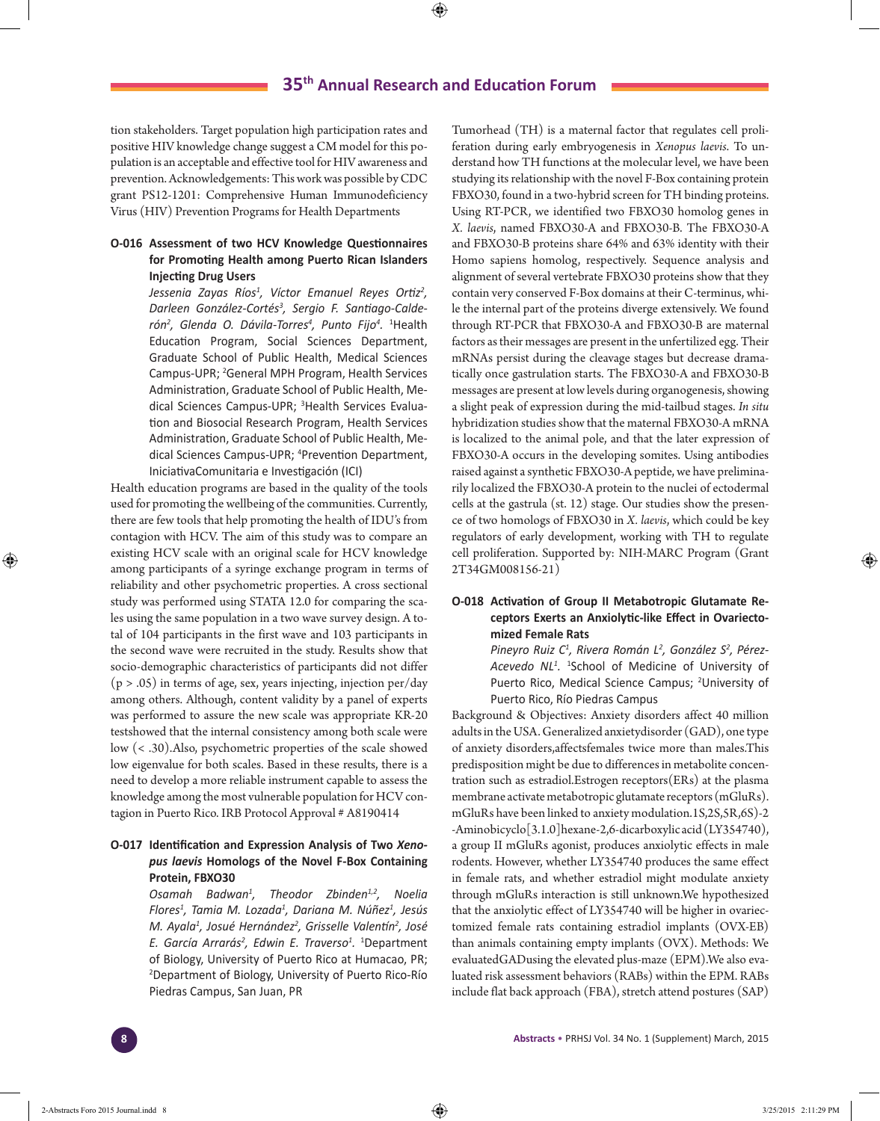tion stakeholders. Target population high participation rates and positive HIV knowledge change suggest a CM model for this population is an acceptable and effective tool for HIV awareness and prevention. Acknowledgements: This work was possible by CDC grant PS12-1201: Comprehensive Human Immunodeficiency Virus (HIV) Prevention Programs for Health Departments

### **O-016 Assessment of two HCV Knowledge Questionnaires for Promoting Health among Puerto Rican Islanders Injecting Drug Users**

*Jessenia Zayas Ríos1 , Víctor Emanuel Reyes Ortiz<sup>2</sup> , Darleen González-Cortés3 , Sergio F. Santiago-Calderón2 , Glenda O. Dávila-Torres<sup>4</sup> , Punto Fijo4 .* <sup>1</sup> Health Education Program, Social Sciences Department, Graduate School of Public Health, Medical Sciences Campus-UPR; <sup>2</sup>General MPH Program, Health Services Administration, Graduate School of Public Health, Medical Sciences Campus-UPR; <sup>3</sup>Health Services Evaluation and Biosocial Research Program, Health Services Administration, Graduate School of Public Health, Medical Sciences Campus-UPR; 4 Prevention Department, IniciativaComunitaria e Investigación (ICI)

Health education programs are based in the quality of the tools used for promoting the wellbeing of the communities. Currently, there are few tools that help promoting the health of IDU's from contagion with HCV. The aim of this study was to compare an existing HCV scale with an original scale for HCV knowledge among participants of a syringe exchange program in terms of reliability and other psychometric properties. A cross sectional study was performed using STATA 12.0 for comparing the scales using the same population in a two wave survey design. A total of 104 participants in the first wave and 103 participants in the second wave were recruited in the study. Results show that socio-demographic characteristics of participants did not differ  $(p > .05)$  in terms of age, sex, years injecting, injection per/day among others. Although, content validity by a panel of experts was performed to assure the new scale was appropriate KR-20 testshowed that the internal consistency among both scale were low (< .30).Also, psychometric properties of the scale showed low eigenvalue for both scales. Based in these results, there is a need to develop a more reliable instrument capable to assess the knowledge among the most vulnerable population for HCV contagion in Puerto Rico. IRB Protocol Approval # A8190414

### **O-017 Identification and Expression Analysis of Two** *Xenopus laevis* **Homologs of the Novel F-Box Containing Protein, FBXO30**

*Osamah Badwan<sup>1</sup> , Theodor Zbinden1,2, Noelia Flores1 , Tamia M. Lozada1 , Dariana M. Núñez<sup>1</sup> , Jesús M. Ayala1 , Josué Hernández<sup>2</sup> , Grisselle Valentín<sup>2</sup> , José E. García Arrarás<sup>2</sup> , Edwin E. Traverso1 .* 1 Department of Biology, University of Puerto Rico at Humacao, PR; 2 Department of Biology, University of Puerto Rico-Río Piedras Campus, San Juan, PR

Tumorhead (TH) is a maternal factor that regulates cell proliferation during early embryogenesis in *Xenopus laevis*. To understand how TH functions at the molecular level, we have been studying its relationship with the novel F-Box containing protein FBXO30, found in a two-hybrid screen for TH binding proteins. Using RT-PCR, we identified two FBXO30 homolog genes in *X. laevis*, named FBXO30-A and FBXO30-B. The FBXO30-A and FBXO30-B proteins share 64% and 63% identity with their Homo sapiens homolog, respectively. Sequence analysis and alignment of several vertebrate FBXO30 proteins show that they contain very conserved F-Box domains at their C-terminus, while the internal part of the proteins diverge extensively. We found through RT-PCR that FBXO30-A and FBXO30-B are maternal factors as their messages are present in the unfertilized egg. Their mRNAs persist during the cleavage stages but decrease dramatically once gastrulation starts. The FBXO30-A and FBXO30-B messages are present at low levels during organogenesis, showing a slight peak of expression during the mid-tailbud stages. *In situ* hybridization studies show that the maternal FBXO30-A mRNA is localized to the animal pole, and that the later expression of FBXO30-A occurs in the developing somites. Using antibodies raised against a synthetic FBXO30-A peptide, we have preliminarily localized the FBXO30-A protein to the nuclei of ectodermal cells at the gastrula (st. 12) stage. Our studies show the presence of two homologs of FBXO30 in *X. laevis*, which could be key regulators of early development, working with TH to regulate cell proliferation. Supported by: NIH-MARC Program (Grant 2T34GM008156-21)

### **O-018 Activation of Group II Metabotropic Glutamate Receptors Exerts an Anxiolytic-like Effect in Ovariectomized Female Rats**

*Pineyro Ruiz C1 , Rivera Román L<sup>2</sup> , González S<sup>2</sup> , Pérez-Acevedo NL<sup>1</sup> .* <sup>1</sup> School of Medicine of University of Puerto Rico, Medical Science Campus; <sup>2</sup>University of Puerto Rico, Río Piedras Campus

Background & Objectives: Anxiety disorders affect 40 million adults in the USA. Generalized anxietydisorder (GAD), one type of anxiety disorders,affectsfemales twice more than males.This predisposition might be due to differences in metabolite concentration such as estradiol.Estrogen receptors(ERs) at the plasma membrane activate metabotropic glutamate receptors (mGluRs). mGluRs have been linked to anxiety modulation.1S,2S,5R,6S)-2 -Aminobicyclo[3.1.0]hexane-2,6-dicarboxylic acid (LY354740), a group II mGluRs agonist, produces anxiolytic effects in male rodents. However, whether LY354740 produces the same effect in female rats, and whether estradiol might modulate anxiety through mGluRs interaction is still unknown.We hypothesized that the anxiolytic effect of LY354740 will be higher in ovariectomized female rats containing estradiol implants (OVX-EB) than animals containing empty implants (OVX). Methods: We evaluatedGADusing the elevated plus-maze (EPM).We also evaluated risk assessment behaviors (RABs) within the EPM. RABs include flat back approach (FBA), stretch attend postures (SAP)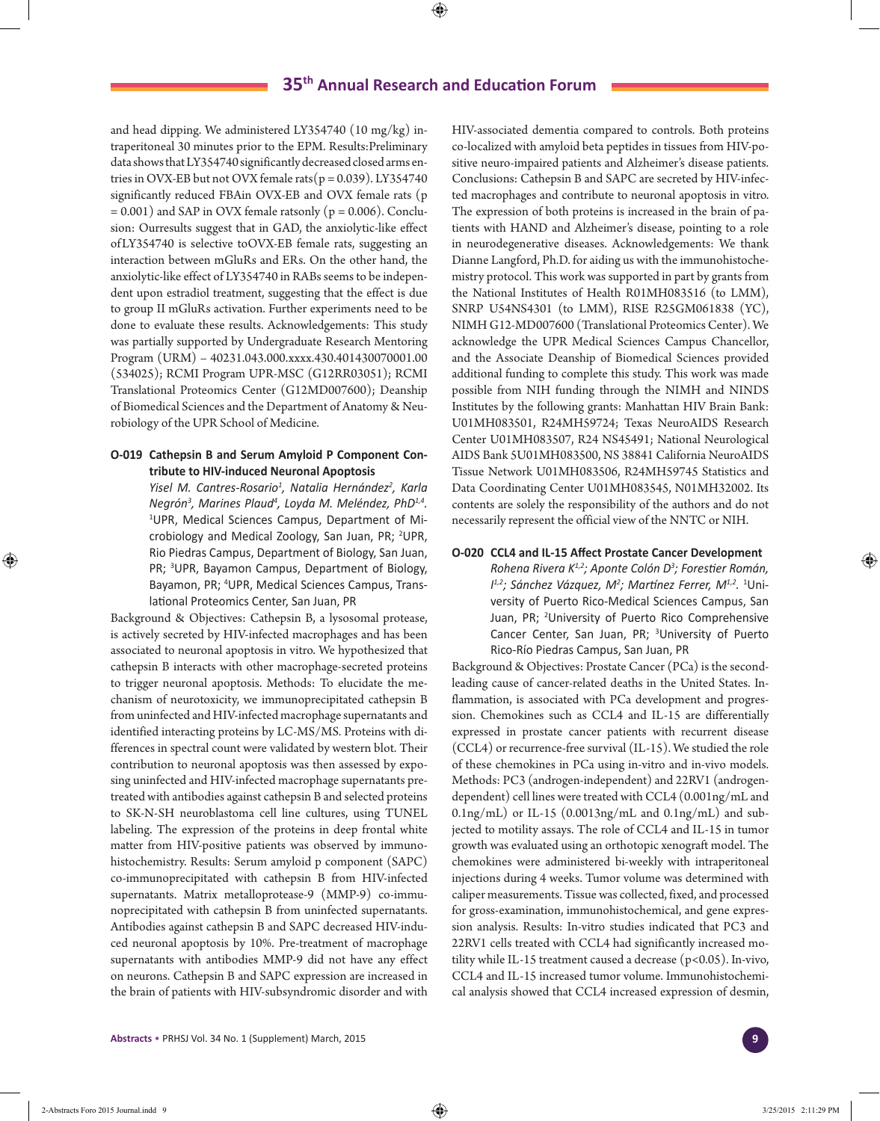and head dipping. We administered LY354740 (10 mg/kg) intraperitoneal 30 minutes prior to the EPM. Results:Preliminary data shows that LY354740 significantly decreased closed arms entries in OVX-EB but not OVX female rats( $p = 0.039$ ). LY354740 significantly reduced FBAin OVX-EB and OVX female rats (p  $= 0.001$ ) and SAP in OVX female ratsonly ( $p = 0.006$ ). Conclusion: Ourresults suggest that in GAD, the anxiolytic-like effect of LY354740 is selective toOVX-EB female rats, suggesting an interaction between mGluRs and ERs. On the other hand, the anxiolytic-like effect of LY354740 in RABs seems to be independent upon estradiol treatment, suggesting that the effect is due to group II mGluRs activation. Further experiments need to be done to evaluate these results. Acknowledgements: This study was partially supported by Undergraduate Research Mentoring Program (URM) – 40231.043.000.xxxx.430.401430070001.00 (534025); RCMI Program UPR-MSC (G12RR03051); RCMI Translational Proteomics Center (G12MD007600); Deanship of Biomedical Sciences and the Department of Anatomy & Neurobiology of the UPR School of Medicine.

### **O-019 Cathepsin B and Serum Amyloid P Component Contribute to HIV-induced Neuronal Apoptosis**

*Yisel M. Cantres-Rosario1 , Natalia Hernández<sup>2</sup> , Karla Negrón3 , Marines Plaud4 , Loyda M. Meléndez, PhD1,4.* 1 UPR, Medical Sciences Campus, Department of Microbiology and Medical Zoology, San Juan, PR; <sup>2</sup>UPR, Rio Piedras Campus, Department of Biology, San Juan, PR; <sup>3</sup>UPR, Bayamon Campus, Department of Biology, Bayamon, PR; 4 UPR, Medical Sciences Campus, Translational Proteomics Center, San Juan, PR

Background & Objectives: Cathepsin B, a lysosomal protease, is actively secreted by HIV-infected macrophages and has been associated to neuronal apoptosis in vitro. We hypothesized that cathepsin B interacts with other macrophage-secreted proteins to trigger neuronal apoptosis. Methods: To elucidate the mechanism of neurotoxicity, we immunoprecipitated cathepsin B from uninfected and HIV-infected macrophage supernatants and identified interacting proteins by LC-MS/MS. Proteins with differences in spectral count were validated by western blot. Their contribution to neuronal apoptosis was then assessed by exposing uninfected and HIV-infected macrophage supernatants pretreated with antibodies against cathepsin B and selected proteins to SK-N-SH neuroblastoma cell line cultures, using TUNEL labeling. The expression of the proteins in deep frontal white matter from HIV-positive patients was observed by immunohistochemistry. Results: Serum amyloid p component (SAPC) co-immunoprecipitated with cathepsin B from HIV-infected supernatants. Matrix metalloprotease-9 (MMP-9) co-immunoprecipitated with cathepsin B from uninfected supernatants. Antibodies against cathepsin B and SAPC decreased HIV-induced neuronal apoptosis by 10%. Pre-treatment of macrophage supernatants with antibodies MMP-9 did not have any effect on neurons. Cathepsin B and SAPC expression are increased in the brain of patients with HIV-subsyndromic disorder and with HIV-associated dementia compared to controls. Both proteins co-localized with amyloid beta peptides in tissues from HIV-positive neuro-impaired patients and Alzheimer's disease patients. Conclusions: Cathepsin B and SAPC are secreted by HIV-infected macrophages and contribute to neuronal apoptosis in vitro. The expression of both proteins is increased in the brain of patients with HAND and Alzheimer's disease, pointing to a role in neurodegenerative diseases. Acknowledgements: We thank Dianne Langford, Ph.D. for aiding us with the immunohistochemistry protocol. This work was supported in part by grants from the National Institutes of Health R01MH083516 (to LMM), SNRP U54NS4301 (to LMM), RISE R25GM061838 (YC), NIMH G12-MD007600 (Translational Proteomics Center). We acknowledge the UPR Medical Sciences Campus Chancellor, and the Associate Deanship of Biomedical Sciences provided additional funding to complete this study. This work was made possible from NIH funding through the NIMH and NINDS Institutes by the following grants: Manhattan HIV Brain Bank: U01MH083501, R24MH59724; Texas NeuroAIDS Research Center U01MH083507, R24 NS45491; National Neurological AIDS Bank 5U01MH083500, NS 38841 California NeuroAIDS Tissue Network U01MH083506, R24MH59745 Statistics and Data Coordinating Center U01MH083545, N01MH32002. Its contents are solely the responsibility of the authors and do not necessarily represent the official view of the NNTC or NIH.

### **O-020 CCL4 and IL-15 Affect Prostate Cancer Development**

*Rohena Rivera K1,2; Aponte Colón D<sup>3</sup> ; Forestier Román, I<sup>1,2</sup>; Sánchez Vázquez, M<sup>2</sup>; Martínez Ferrer, M<sup>1,2</sup>. <sup>1</sup>Uni*versity of Puerto Rico-Medical Sciences Campus, San Juan, PR; 2 University of Puerto Rico Comprehensive Cancer Center, San Juan, PR; <sup>3</sup>University of Puerto Rico-Río Piedras Campus, San Juan, PR

Background & Objectives: Prostate Cancer (PCa) is the secondleading cause of cancer-related deaths in the United States. Inflammation, is associated with PCa development and progression. Chemokines such as CCL4 and IL-15 are differentially expressed in prostate cancer patients with recurrent disease (CCL4) or recurrence-free survival (IL-15). We studied the role of these chemokines in PCa using in-vitro and in-vivo models. Methods: PC3 (androgen-independent) and 22RV1 (androgendependent) cell lines were treated with CCL4 (0.001ng/mL and 0.1ng/mL) or IL-15 (0.0013ng/mL and 0.1ng/mL) and subjected to motility assays. The role of CCL4 and IL-15 in tumor growth was evaluated using an orthotopic xenograft model. The chemokines were administered bi-weekly with intraperitoneal injections during 4 weeks. Tumor volume was determined with caliper measurements. Tissue was collected, fixed, and processed for gross-examination, immunohistochemical, and gene expression analysis. Results: In-vitro studies indicated that PC3 and 22RV1 cells treated with CCL4 had significantly increased motility while IL-15 treatment caused a decrease (p<0.05). In-vivo, CCL4 and IL-15 increased tumor volume. Immunohistochemical analysis showed that CCL4 increased expression of desmin,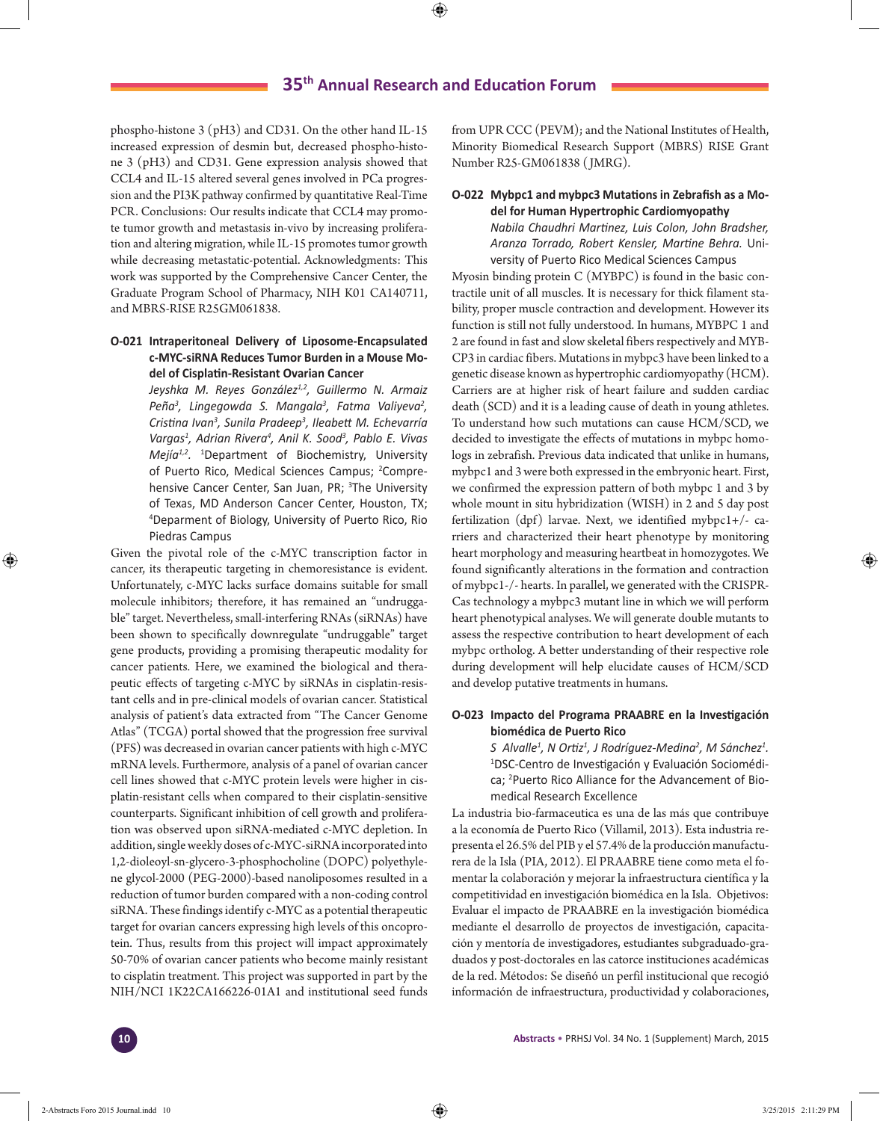phospho-histone 3 (pH3) and CD31. On the other hand IL-15 increased expression of desmin but, decreased phospho-histone 3 (pH3) and CD31. Gene expression analysis showed that CCL4 and IL-15 altered several genes involved in PCa progression and the PI3K pathway confirmed by quantitative Real-Time PCR. Conclusions: Our results indicate that CCL4 may promote tumor growth and metastasis in-vivo by increasing proliferation and altering migration, while IL-15 promotes tumor growth while decreasing metastatic-potential. Acknowledgments: This work was supported by the Comprehensive Cancer Center, the Graduate Program School of Pharmacy, NIH K01 CA140711, and MBRS-RISE R25GM061838.

### **O-021 Intraperitoneal Delivery of Liposome-Encapsulated c-MYC-siRNA Reduces Tumor Burden in a Mouse Model of Cisplatin-Resistant Ovarian Cancer**

*Jeyshka M. Reyes González1,2, Guillermo N. Armaiz Peña<sup>3</sup> , Lingegowda S. Mangala<sup>3</sup> , Fatma Valiyeva2 , Cristina Ivan3 , Sunila Pradeep<sup>3</sup> , Ileabett M. Echevarría Vargas1 , Adrian Rivera4 , Anil K. Sood<sup>3</sup> , Pablo E. Vivas Mejía1,2.* <sup>1</sup> Department of Biochemistry, University of Puerto Rico, Medical Sciences Campus; <sup>2</sup>Comprehensive Cancer Center, San Juan, PR; <sup>3</sup>The University of Texas, MD Anderson Cancer Center, Houston, TX; 4 Deparment of Biology, University of Puerto Rico, Rio Piedras Campus

Given the pivotal role of the c-MYC transcription factor in cancer, its therapeutic targeting in chemoresistance is evident. Unfortunately, c-MYC lacks surface domains suitable for small molecule inhibitors; therefore, it has remained an "undruggable" target. Nevertheless, small-interfering RNAs (siRNAs) have been shown to specifically downregulate "undruggable" target gene products, providing a promising therapeutic modality for cancer patients. Here, we examined the biological and therapeutic effects of targeting c-MYC by siRNAs in cisplatin-resistant cells and in pre-clinical models of ovarian cancer. Statistical analysis of patient's data extracted from "The Cancer Genome Atlas" (TCGA) portal showed that the progression free survival (PFS) was decreased in ovarian cancer patients with high c-MYC mRNA levels. Furthermore, analysis of a panel of ovarian cancer cell lines showed that c-MYC protein levels were higher in cisplatin-resistant cells when compared to their cisplatin-sensitive counterparts. Significant inhibition of cell growth and proliferation was observed upon siRNA-mediated c-MYC depletion. In addition, single weekly doses of c-MYC-siRNA incorporated into 1,2-dioleoyl-sn-glycero-3-phosphocholine (DOPC) polyethylene glycol-2000 (PEG-2000)-based nanoliposomes resulted in a reduction of tumor burden compared with a non-coding control siRNA. These findings identify c-MYC as a potential therapeutic target for ovarian cancers expressing high levels of this oncoprotein. Thus, results from this project will impact approximately 50-70% of ovarian cancer patients who become mainly resistant to cisplatin treatment. This project was supported in part by the NIH/NCI 1K22CA166226-01A1 and institutional seed funds

from UPR CCC (PEVM); and the National Institutes of Health, Minority Biomedical Research Support (MBRS) RISE Grant Number R25-GM061838 ( JMRG).

### **O-022 Mybpc1 and mybpc3 Mutations in Zebrafish as a Model for Human Hypertrophic Cardiomyopathy**

*Nabila Chaudhri Martinez, Luis Colon, John Bradsher, Aranza Torrado, Robert Kensler, Martine Behra.* University of Puerto Rico Medical Sciences Campus

Myosin binding protein C (MYBPC) is found in the basic contractile unit of all muscles. It is necessary for thick filament stability, proper muscle contraction and development. However its function is still not fully understood. In humans, MYBPC 1 and 2 are found in fast and slow skeletal fibers respectively and MYB-CP3 in cardiac fibers. Mutations in mybpc3 have been linked to a genetic disease known as hypertrophic cardiomyopathy (HCM). Carriers are at higher risk of heart failure and sudden cardiac death (SCD) and it is a leading cause of death in young athletes. To understand how such mutations can cause HCM/SCD, we decided to investigate the effects of mutations in mybpc homologs in zebrafish. Previous data indicated that unlike in humans, mybpc1 and 3 were both expressed in the embryonic heart. First, we confirmed the expression pattern of both mybpc 1 and 3 by whole mount in situ hybridization (WISH) in 2 and 5 day post fertilization (dpf) larvae. Next, we identified mybpc1+/- carriers and characterized their heart phenotype by monitoring heart morphology and measuring heartbeat in homozygotes. We found significantly alterations in the formation and contraction of mybpc1-/- hearts. In parallel, we generated with the CRISPR-Cas technology a mybpc3 mutant line in which we will perform heart phenotypical analyses. We will generate double mutants to assess the respective contribution to heart development of each mybpc ortholog. A better understanding of their respective role during development will help elucidate causes of HCM/SCD and develop putative treatments in humans.

### **O-023 Impacto del Programa PRAABRE en la Investigación biomédica de Puerto Rico**

*S* Alvalle<sup>1</sup>, N Ortiz<sup>1</sup>, J Rodríguez-Medina<sup>2</sup>, M Sánchez<sup>1</sup>. 1 DSC-Centro de Investigación y Evaluación Sociomédica; <sup>2</sup>Puerto Rico Alliance for the Advancement of Biomedical Research Excellence

La industria bio-farmaceutica es una de las más que contribuye a la economía de Puerto Rico (Villamil, 2013). Esta industria representa el 26.5% del PIB y el 57.4% de la producción manufacturera de la Isla (PIA, 2012). El PRAABRE tiene como meta el fomentar la colaboración y mejorar la infraestructura científica y la competitividad en investigación biomédica en la Isla. Objetivos: Evaluar el impacto de PRAABRE en la investigación biomédica mediante el desarrollo de proyectos de investigación, capacitación y mentoría de investigadores, estudiantes subgraduado-graduados y post-doctorales en las catorce instituciones académicas de la red. Métodos: Se diseñó un perfil institucional que recogió información de infraestructura, productividad y colaboraciones,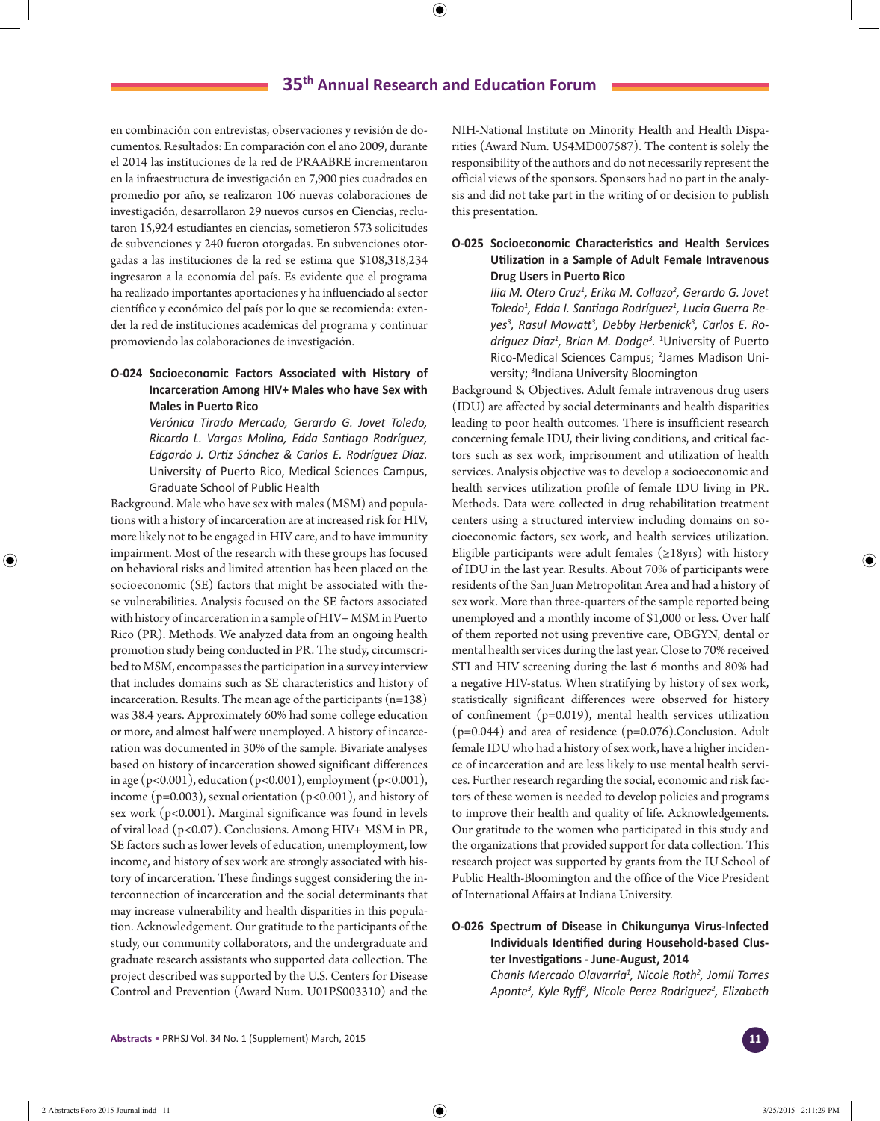en combinación con entrevistas, observaciones y revisión de documentos. Resultados: En comparación con el año 2009, durante el 2014 las instituciones de la red de PRAABRE incrementaron en la infraestructura de investigación en 7,900 pies cuadrados en promedio por año, se realizaron 106 nuevas colaboraciones de investigación, desarrollaron 29 nuevos cursos en Ciencias, reclutaron 15,924 estudiantes en ciencias, sometieron 573 solicitudes de subvenciones y 240 fueron otorgadas. En subvenciones otorgadas a las instituciones de la red se estima que \$108,318,234 ingresaron a la economía del país. Es evidente que el programa ha realizado importantes aportaciones y ha influenciado al sector científico y económico del país por lo que se recomienda: extender la red de instituciones académicas del programa y continuar promoviendo las colaboraciones de investigación.

# **O-024 Socioeconomic Factors Associated with History of Incarceration Among HIV+ Males who have Sex with Males in Puerto Rico**

*Verónica Tirado Mercado, Gerardo G. Jovet Toledo, Ricardo L. Vargas Molina, Edda Santiago Rodríguez, Edgardo J. Ortiz Sánchez & Carlos E. Rodríguez Díaz.*  University of Puerto Rico, Medical Sciences Campus, Graduate School of Public Health

Background. Male who have sex with males (MSM) and populations with a history of incarceration are at increased risk for HIV, more likely not to be engaged in HIV care, and to have immunity impairment. Most of the research with these groups has focused on behavioral risks and limited attention has been placed on the socioeconomic (SE) factors that might be associated with these vulnerabilities. Analysis focused on the SE factors associated with history of incarceration in a sample of HIV+ MSM in Puerto Rico (PR). Methods. We analyzed data from an ongoing health promotion study being conducted in PR. The study, circumscribed to MSM, encompasses the participation in a survey interview that includes domains such as SE characteristics and history of incarceration. Results. The mean age of the participants (n=138) was 38.4 years. Approximately 60% had some college education or more, and almost half were unemployed. A history of incarceration was documented in 30% of the sample. Bivariate analyses based on history of incarceration showed significant differences in age (p<0.001), education (p<0.001), employment (p<0.001), income ( $p=0.003$ ), sexual orientation ( $p<0.001$ ), and history of sex work (p<0.001). Marginal significance was found in levels of viral load (p<0.07). Conclusions. Among HIV+ MSM in PR, SE factors such as lower levels of education, unemployment, low income, and history of sex work are strongly associated with history of incarceration. These findings suggest considering the interconnection of incarceration and the social determinants that may increase vulnerability and health disparities in this population. Acknowledgement. Our gratitude to the participants of the study, our community collaborators, and the undergraduate and graduate research assistants who supported data collection. The project described was supported by the U.S. Centers for Disease Control and Prevention (Award Num. U01PS003310) and the

NIH-National Institute on Minority Health and Health Disparities (Award Num. U54MD007587). The content is solely the responsibility of the authors and do not necessarily represent the official views of the sponsors. Sponsors had no part in the analysis and did not take part in the writing of or decision to publish this presentation.

## **O-025 Socioeconomic Characteristics and Health Services Utilization in a Sample of Adult Female Intravenous Drug Users in Puerto Rico**

*Ilia M. Otero Cruz1 , Erika M. Collazo<sup>2</sup> , Gerardo G. Jovet Toledo1 , Edda I. Santiago Rodríguez<sup>1</sup> , Lucia Guerra Reyes<sup>3</sup> , Rasul Mowatt3 , Debby Herbenick3 , Carlos E. Rodriguez Diaz1 , Brian M. Dodge<sup>3</sup> .* 1 University of Puerto Rico-Medical Sciences Campus; <sup>2</sup>James Madison University; 3 Indiana University Bloomington

Background & Objectives. Adult female intravenous drug users (IDU) are affected by social determinants and health disparities leading to poor health outcomes. There is insufficient research concerning female IDU, their living conditions, and critical factors such as sex work, imprisonment and utilization of health services. Analysis objective was to develop a socioeconomic and health services utilization profile of female IDU living in PR. Methods. Data were collected in drug rehabilitation treatment centers using a structured interview including domains on socioeconomic factors, sex work, and health services utilization. Eligible participants were adult females ( $\geq$ 18yrs) with history of IDU in the last year. Results. About 70% of participants were residents of the San Juan Metropolitan Area and had a history of sex work. More than three-quarters of the sample reported being unemployed and a monthly income of \$1,000 or less. Over half of them reported not using preventive care, OBGYN, dental or mental health services during the last year. Close to 70% received STI and HIV screening during the last 6 months and 80% had a negative HIV-status. When stratifying by history of sex work, statistically significant differences were observed for history of confinement (p=0.019), mental health services utilization (p=0.044) and area of residence (p=0.076).Conclusion. Adult female IDU who had a history of sex work, have a higher incidence of incarceration and are less likely to use mental health services. Further research regarding the social, economic and risk factors of these women is needed to develop policies and programs to improve their health and quality of life. Acknowledgements. Our gratitude to the women who participated in this study and the organizations that provided support for data collection. This research project was supported by grants from the IU School of Public Health-Bloomington and the office of the Vice President of International Affairs at Indiana University.

### **O-026 Spectrum of Disease in Chikungunya Virus-Infected Individuals Identified during Household-based Cluster Investigations - June-August, 2014**

*Chanis Mercado Olavarria<sup>1</sup> , Nicole Roth<sup>2</sup> , Jomil Torres Aponte<sup>3</sup> , Kyle Ryff3 , Nicole Perez Rodriguez<sup>2</sup> , Elizabeth*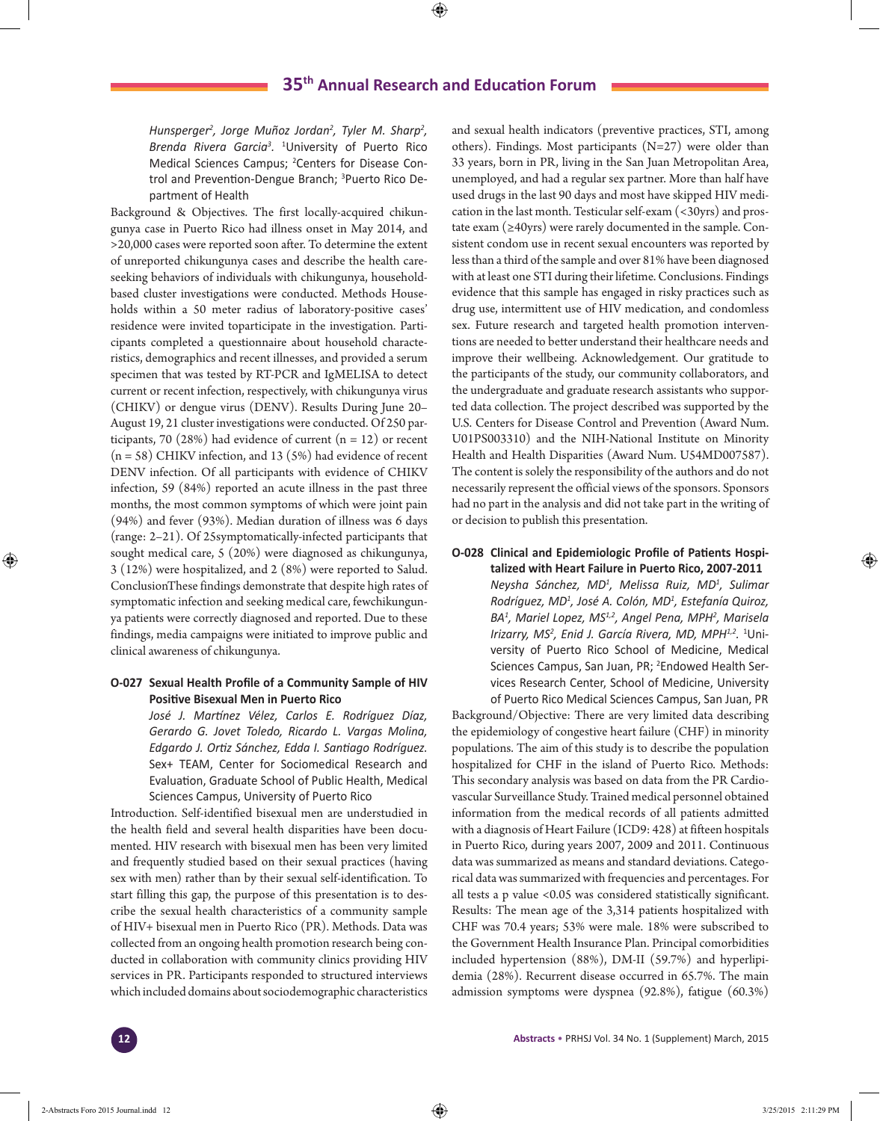*Hunsperger2 , Jorge Muñoz Jordan2 , Tyler M. Sharp<sup>2</sup> , Brenda Rivera Garcia<sup>3</sup> .* <sup>1</sup> University of Puerto Rico Medical Sciences Campus; <sup>2</sup>Centers for Disease Control and Prevention-Dengue Branch; <sup>3</sup>Puerto Rico Department of Health

Background & Objectives. The first locally-acquired chikungunya case in Puerto Rico had illness onset in May 2014, and >20,000 cases were reported soon after. To determine the extent of unreported chikungunya cases and describe the health careseeking behaviors of individuals with chikungunya, householdbased cluster investigations were conducted. Methods Households within a 50 meter radius of laboratory-positive cases' residence were invited toparticipate in the investigation. Participants completed a questionnaire about household characteristics, demographics and recent illnesses, and provided a serum specimen that was tested by RT-PCR and IgMELISA to detect current or recent infection, respectively, with chikungunya virus (CHIKV) or dengue virus (DENV). Results During June 20– August 19, 21 cluster investigations were conducted. Of 250 participants, 70 (28%) had evidence of current  $(n = 12)$  or recent (n = 58) CHIKV infection, and 13 (5%) had evidence of recent DENV infection. Of all participants with evidence of CHIKV infection, 59 (84%) reported an acute illness in the past three months, the most common symptoms of which were joint pain (94%) and fever (93%). Median duration of illness was 6 days (range: 2–21). Of 25symptomatically-infected participants that sought medical care, 5 (20%) were diagnosed as chikungunya, 3 (12%) were hospitalized, and 2 (8%) were reported to Salud. ConclusionThese findings demonstrate that despite high rates of symptomatic infection and seeking medical care, fewchikungunya patients were correctly diagnosed and reported. Due to these findings, media campaigns were initiated to improve public and clinical awareness of chikungunya.

### **O-027 Sexual Health Profile of a Community Sample of HIV Positive Bisexual Men in Puerto Rico**

*José J. Martínez Vélez, Carlos E. Rodríguez Díaz, Gerardo G. Jovet Toledo, Ricardo L. Vargas Molina, Edgardo J. Ortiz Sánchez, Edda I. Santiago Rodríguez.*  Sex+ TEAM, Center for Sociomedical Research and Evaluation, Graduate School of Public Health, Medical Sciences Campus, University of Puerto Rico

Introduction. Self-identified bisexual men are understudied in the health field and several health disparities have been documented. HIV research with bisexual men has been very limited and frequently studied based on their sexual practices (having sex with men) rather than by their sexual self-identification. To start filling this gap, the purpose of this presentation is to describe the sexual health characteristics of a community sample of HIV+ bisexual men in Puerto Rico (PR). Methods. Data was collected from an ongoing health promotion research being conducted in collaboration with community clinics providing HIV services in PR. Participants responded to structured interviews which included domains about sociodemographic characteristics

and sexual health indicators (preventive practices, STI, among others). Findings. Most participants (N=27) were older than 33 years, born in PR, living in the San Juan Metropolitan Area, unemployed, and had a regular sex partner. More than half have used drugs in the last 90 days and most have skipped HIV medication in the last month. Testicular self-exam (<30yrs) and prostate exam  $(\geq 40$ yrs) were rarely documented in the sample. Consistent condom use in recent sexual encounters was reported by less than a third of the sample and over 81% have been diagnosed with at least one STI during their lifetime. Conclusions. Findings evidence that this sample has engaged in risky practices such as drug use, intermittent use of HIV medication, and condomless sex. Future research and targeted health promotion interventions are needed to better understand their healthcare needs and improve their wellbeing. Acknowledgement. Our gratitude to the participants of the study, our community collaborators, and the undergraduate and graduate research assistants who supported data collection. The project described was supported by the U.S. Centers for Disease Control and Prevention (Award Num. U01PS003310) and the NIH-National Institute on Minority Health and Health Disparities (Award Num. U54MD007587). The content is solely the responsibility of the authors and do not necessarily represent the official views of the sponsors. Sponsors had no part in the analysis and did not take part in the writing of or decision to publish this presentation.

### **O-028 Clinical and Epidemiologic Profile of Patients Hospitalized with Heart Failure in Puerto Rico, 2007-2011**

*Neysha Sánchez, MD<sup>1</sup> , Melissa Ruiz, MD1 , Sulimar Rodríguez, MD1 , José A. Colón, MD1 , Estefanía Quiroz, BA1 , Mariel Lopez, MS1,2, Angel Pena, MPH2 , Marisela Irizarry, MS2 , Enid J. García Rivera, MD, MPH1,2.* <sup>1</sup> University of Puerto Rico School of Medicine, Medical Sciences Campus, San Juan, PR; <sup>2</sup>Endowed Health Services Research Center, School of Medicine, University of Puerto Rico Medical Sciences Campus, San Juan, PR

Background/Objective: There are very limited data describing the epidemiology of congestive heart failure (CHF) in minority populations. The aim of this study is to describe the population hospitalized for CHF in the island of Puerto Rico. Methods: This secondary analysis was based on data from the PR Cardiovascular Surveillance Study. Trained medical personnel obtained information from the medical records of all patients admitted with a diagnosis of Heart Failure (ICD9: 428) at fifteen hospitals in Puerto Rico, during years 2007, 2009 and 2011. Continuous data was summarized as means and standard deviations. Categorical data was summarized with frequencies and percentages. For all tests a p value <0.05 was considered statistically significant. Results: The mean age of the 3,314 patients hospitalized with CHF was 70.4 years; 53% were male. 18% were subscribed to the Government Health Insurance Plan. Principal comorbidities included hypertension (88%), DM-II (59.7%) and hyperlipidemia (28%). Recurrent disease occurred in 65.7%. The main admission symptoms were dyspnea (92.8%), fatigue (60.3%)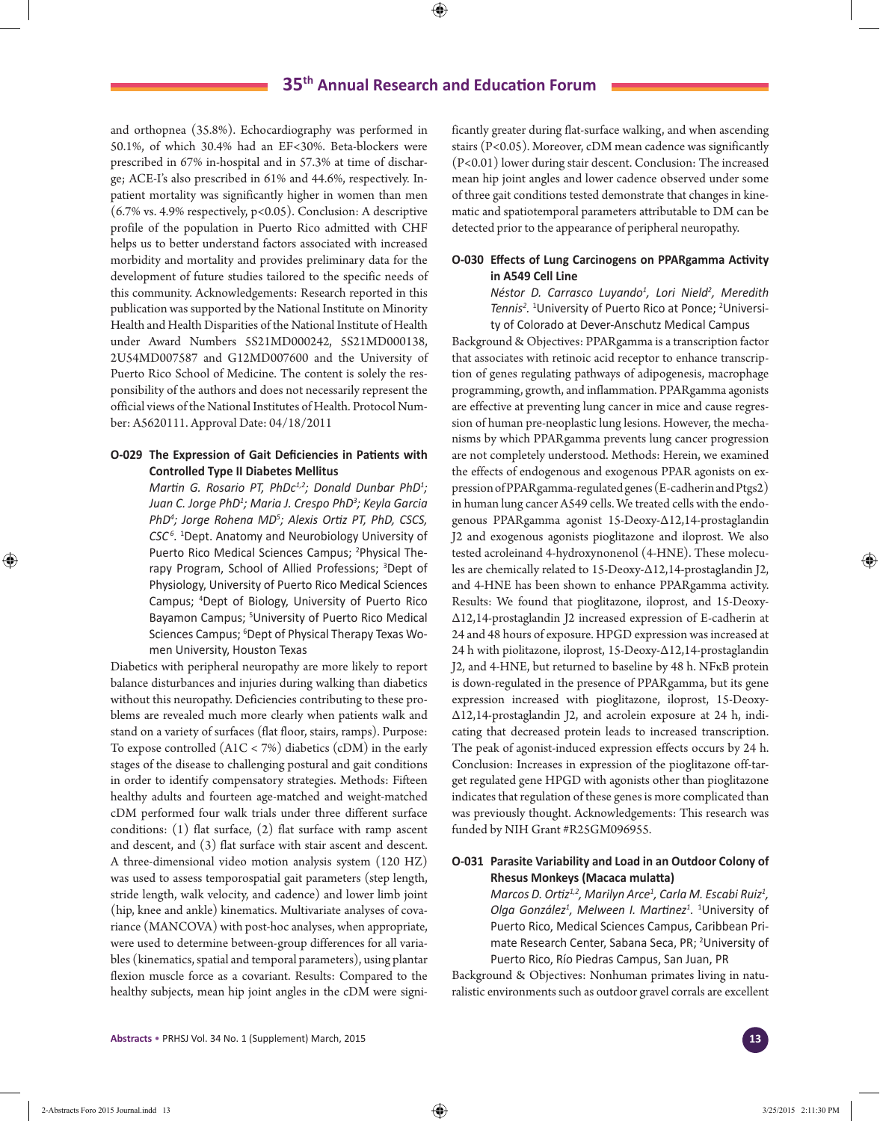and orthopnea (35.8%). Echocardiography was performed in 50.1%, of which 30.4% had an EF<30%. Beta-blockers were prescribed in 67% in-hospital and in 57.3% at time of discharge; ACE-I's also prescribed in 61% and 44.6%, respectively. Inpatient mortality was significantly higher in women than men (6.7% vs. 4.9% respectively, p<0.05). Conclusion: A descriptive profile of the population in Puerto Rico admitted with CHF helps us to better understand factors associated with increased morbidity and mortality and provides preliminary data for the development of future studies tailored to the specific needs of this community. Acknowledgements: Research reported in this publication was supported by the National Institute on Minority Health and Health Disparities of the National Institute of Health under Award Numbers 5S21MD000242, 5S21MD000138, 2U54MD007587 and G12MD007600 and the University of Puerto Rico School of Medicine. The content is solely the responsibility of the authors and does not necessarily represent the official views of the National Institutes of Health. Protocol Number: A5620111. Approval Date: 04/18/2011

### **O-029 The Expression of Gait Deficiencies in Patients with Controlled Type II Diabetes Mellitus**

*Martin G. Rosario PT, PhDc1,2; Donald Dunbar PhD<sup>1</sup> ; Juan C. Jorge PhD<sup>1</sup> ; Maria J. Crespo PhD3 ; Keyla Garcia PhD<sup>4</sup> ; Jorge Rohena MD<sup>5</sup> ; Alexis Ortiz PT, PhD, CSCS, CSC 6.* <sup>1</sup> Dept. Anatomy and Neurobiology University of Puerto Rico Medical Sciences Campus; <sup>2</sup>Physical Therapy Program, School of Allied Professions; <sup>3</sup>Dept of Physiology, University of Puerto Rico Medical Sciences Campus; 4 Dept of Biology, University of Puerto Rico Bayamon Campus; <sup>5</sup>University of Puerto Rico Medical Sciences Campus; <sup>6</sup>Dept of Physical Therapy Texas Women University, Houston Texas

Diabetics with peripheral neuropathy are more likely to report balance disturbances and injuries during walking than diabetics without this neuropathy. Deficiencies contributing to these problems are revealed much more clearly when patients walk and stand on a variety of surfaces (flat floor, stairs, ramps). Purpose: To expose controlled (A1C < 7%) diabetics (cDM) in the early stages of the disease to challenging postural and gait conditions in order to identify compensatory strategies. Methods: Fifteen healthy adults and fourteen age-matched and weight-matched cDM performed four walk trials under three different surface conditions: (1) flat surface, (2) flat surface with ramp ascent and descent, and (3) flat surface with stair ascent and descent. A three-dimensional video motion analysis system (120 HZ) was used to assess temporospatial gait parameters (step length, stride length, walk velocity, and cadence) and lower limb joint (hip, knee and ankle) kinematics. Multivariate analyses of covariance (MANCOVA) with post-hoc analyses, when appropriate, were used to determine between-group differences for all variables (kinematics, spatial and temporal parameters), using plantar flexion muscle force as a covariant. Results: Compared to the healthy subjects, mean hip joint angles in the cDM were significantly greater during flat-surface walking, and when ascending stairs (P<0.05). Moreover, cDM mean cadence was significantly (P<0.01) lower during stair descent. Conclusion: The increased mean hip joint angles and lower cadence observed under some of three gait conditions tested demonstrate that changes in kinematic and spatiotemporal parameters attributable to DM can be detected prior to the appearance of peripheral neuropathy.

### **O-030 Effects of Lung Carcinogens on PPARgamma Activity in A549 Cell Line**

*Néstor D. Carrasco Luyando<sup>1</sup> , Lori Nield<sup>2</sup> , Meredith*  Tennis<sup>2</sup>. <sup>1</sup>University of Puerto Rico at Ponce; <sup>2</sup>University of Colorado at Dever-Anschutz Medical Campus

Background & Objectives: PPARgamma is a transcription factor that associates with retinoic acid receptor to enhance transcription of genes regulating pathways of adipogenesis, macrophage programming, growth, and inflammation. PPARgamma agonists are effective at preventing lung cancer in mice and cause regression of human pre-neoplastic lung lesions. However, the mechanisms by which PPARgamma prevents lung cancer progression are not completely understood. Methods: Herein, we examined the effects of endogenous and exogenous PPAR agonists on expression of PPARgamma-regulated genes (E-cadherin and Ptgs2) in human lung cancer A549 cells. We treated cells with the endogenous PPARgamma agonist 15-Deoxy-Δ12,14-prostaglandin J2 and exogenous agonists pioglitazone and iloprost. We also tested acroleinand 4-hydroxynonenol (4-HNE). These molecules are chemically related to 15-Deoxy-Δ12,14-prostaglandin J2, and 4-HNE has been shown to enhance PPARgamma activity. Results: We found that pioglitazone, iloprost, and 15-Deoxy-Δ12,14-prostaglandin J2 increased expression of E-cadherin at 24 and 48 hours of exposure. HPGD expression was increased at 24 h with piolitazone, iloprost, 15-Deoxy-Δ12,14-prostaglandin J2, and 4-HNE, but returned to baseline by 48 h. NFκB protein is down-regulated in the presence of PPARgamma, but its gene expression increased with pioglitazone, iloprost, 15-Deoxy-Δ12,14-prostaglandin J2, and acrolein exposure at 24 h, indicating that decreased protein leads to increased transcription. The peak of agonist-induced expression effects occurs by 24 h. Conclusion: Increases in expression of the pioglitazone off-target regulated gene HPGD with agonists other than pioglitazone indicates that regulation of these genes is more complicated than was previously thought. Acknowledgements: This research was funded by NIH Grant #R25GM096955.

### **O-031 Parasite Variability and Load in an Outdoor Colony of Rhesus Monkeys (Macaca mulatta)**

*Marcos D. Ortiz1,2, Marilyn Arce1 , Carla M. Escabi Ruiz1 , Olga González<sup>1</sup> , Melween I. Martinez<sup>1</sup> .* 1 University of Puerto Rico, Medical Sciences Campus, Caribbean Primate Research Center, Sabana Seca, PR; <sup>2</sup>University of Puerto Rico, Río Piedras Campus, San Juan, PR

Background & Objectives: Nonhuman primates living in naturalistic environments such as outdoor gravel corrals are excellent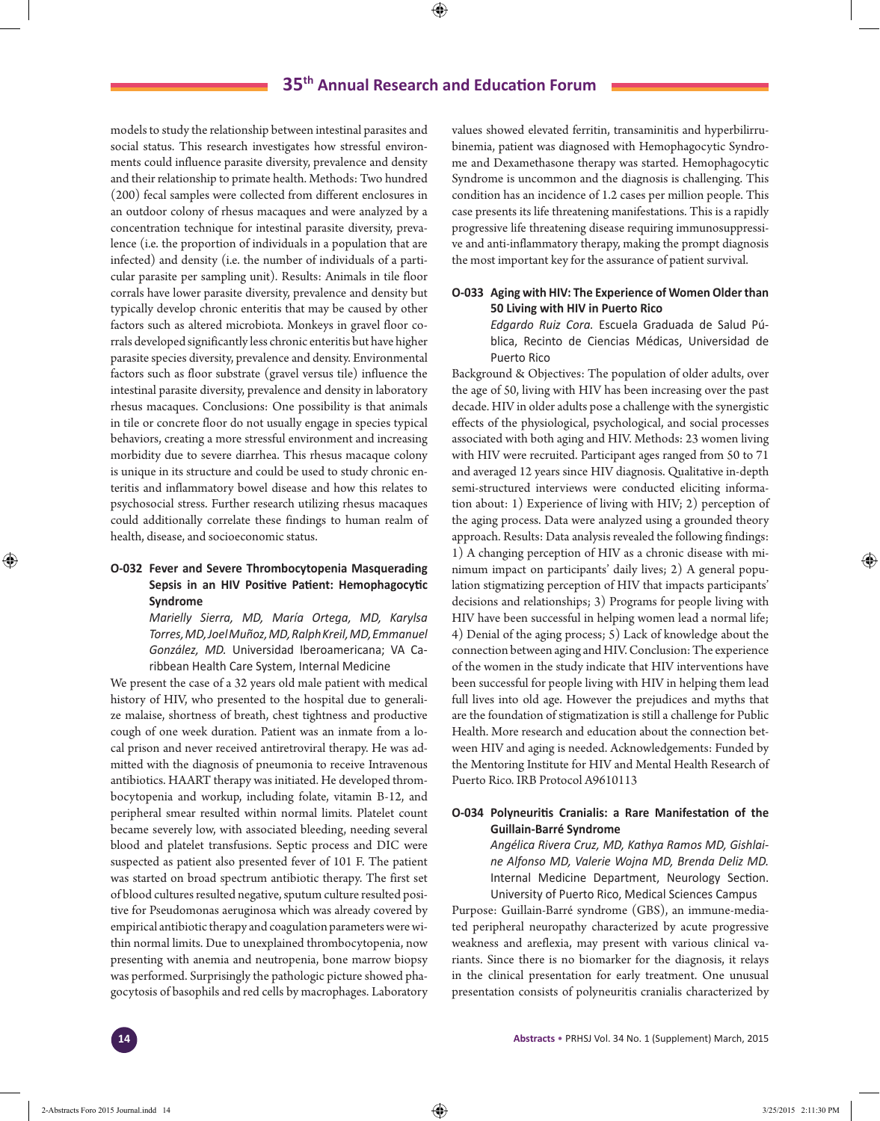models to study the relationship between intestinal parasites and social status. This research investigates how stressful environments could influence parasite diversity, prevalence and density and their relationship to primate health. Methods: Two hundred (200) fecal samples were collected from different enclosures in an outdoor colony of rhesus macaques and were analyzed by a concentration technique for intestinal parasite diversity, prevalence (i.e. the proportion of individuals in a population that are infected) and density (i.e. the number of individuals of a particular parasite per sampling unit). Results: Animals in tile floor corrals have lower parasite diversity, prevalence and density but typically develop chronic enteritis that may be caused by other factors such as altered microbiota. Monkeys in gravel floor corrals developed significantly less chronic enteritis but have higher parasite species diversity, prevalence and density. Environmental factors such as floor substrate (gravel versus tile) influence the intestinal parasite diversity, prevalence and density in laboratory rhesus macaques. Conclusions: One possibility is that animals in tile or concrete floor do not usually engage in species typical behaviors, creating a more stressful environment and increasing morbidity due to severe diarrhea. This rhesus macaque colony is unique in its structure and could be used to study chronic enteritis and inflammatory bowel disease and how this relates to psychosocial stress. Further research utilizing rhesus macaques could additionally correlate these findings to human realm of health, disease, and socioeconomic status.

### **O-032 Fever and Severe Thrombocytopenia Masquerading Sepsis in an HIV Positive Patient: Hemophagocytic Syndrome**

*Marielly Sierra, MD, María Ortega, MD, Karylsa Torres, MD, Joel Muñoz, MD, Ralph Kreil, MD, Emmanuel González, MD.* Universidad Iberoamericana; VA Caribbean Health Care System, Internal Medicine

We present the case of a 32 years old male patient with medical history of HIV, who presented to the hospital due to generalize malaise, shortness of breath, chest tightness and productive cough of one week duration. Patient was an inmate from a local prison and never received antiretroviral therapy. He was admitted with the diagnosis of pneumonia to receive Intravenous antibiotics. HAART therapy was initiated. He developed thrombocytopenia and workup, including folate, vitamin B-12, and peripheral smear resulted within normal limits. Platelet count became severely low, with associated bleeding, needing several blood and platelet transfusions. Septic process and DIC were suspected as patient also presented fever of 101 F. The patient was started on broad spectrum antibiotic therapy. The first set of blood cultures resulted negative, sputum culture resulted positive for Pseudomonas aeruginosa which was already covered by empirical antibiotic therapy and coagulation parameters were within normal limits. Due to unexplained thrombocytopenia, now presenting with anemia and neutropenia, bone marrow biopsy was performed. Surprisingly the pathologic picture showed phagocytosis of basophils and red cells by macrophages. Laboratory

values showed elevated ferritin, transaminitis and hyperbilirrubinemia, patient was diagnosed with Hemophagocytic Syndrome and Dexamethasone therapy was started. Hemophagocytic Syndrome is uncommon and the diagnosis is challenging. This condition has an incidence of 1.2 cases per million people. This case presents its life threatening manifestations. This is a rapidly progressive life threatening disease requiring immunosuppressive and anti-inflammatory therapy, making the prompt diagnosis the most important key for the assurance of patient survival.

### **O-033 Aging with HIV: The Experience of Women Older than 50 Living with HIV in Puerto Rico**

*Edgardo Ruiz Cora.* Escuela Graduada de Salud Pública, Recinto de Ciencias Médicas, Universidad de Puerto Rico

Background & Objectives: The population of older adults, over the age of 50, living with HIV has been increasing over the past decade. HIV in older adults pose a challenge with the synergistic effects of the physiological, psychological, and social processes associated with both aging and HIV. Methods: 23 women living with HIV were recruited. Participant ages ranged from 50 to 71 and averaged 12 years since HIV diagnosis. Qualitative in-depth semi-structured interviews were conducted eliciting information about: 1) Experience of living with HIV; 2) perception of the aging process. Data were analyzed using a grounded theory approach. Results: Data analysis revealed the following findings: 1) A changing perception of HIV as a chronic disease with minimum impact on participants' daily lives; 2) A general population stigmatizing perception of HIV that impacts participants' decisions and relationships; 3) Programs for people living with HIV have been successful in helping women lead a normal life; 4) Denial of the aging process; 5) Lack of knowledge about the connection between aging and HIV. Conclusion: The experience of the women in the study indicate that HIV interventions have been successful for people living with HIV in helping them lead full lives into old age. However the prejudices and myths that are the foundation of stigmatization is still a challenge for Public Health. More research and education about the connection between HIV and aging is needed. Acknowledgements: Funded by the Mentoring Institute for HIV and Mental Health Research of Puerto Rico. IRB Protocol A9610113

### **O-034 Polyneuritis Cranialis: a Rare Manifestation of the Guillain-Barré Syndrome**

*Angélica Rivera Cruz, MD, Kathya Ramos MD, Gishlaine Alfonso MD, Valerie Wojna MD, Brenda Deliz MD.*  Internal Medicine Department, Neurology Section. University of Puerto Rico, Medical Sciences Campus

Purpose: Guillain-Barré syndrome (GBS), an immune-mediated peripheral neuropathy characterized by acute progressive weakness and areflexia, may present with various clinical variants. Since there is no biomarker for the diagnosis, it relays in the clinical presentation for early treatment. One unusual presentation consists of polyneuritis cranialis characterized by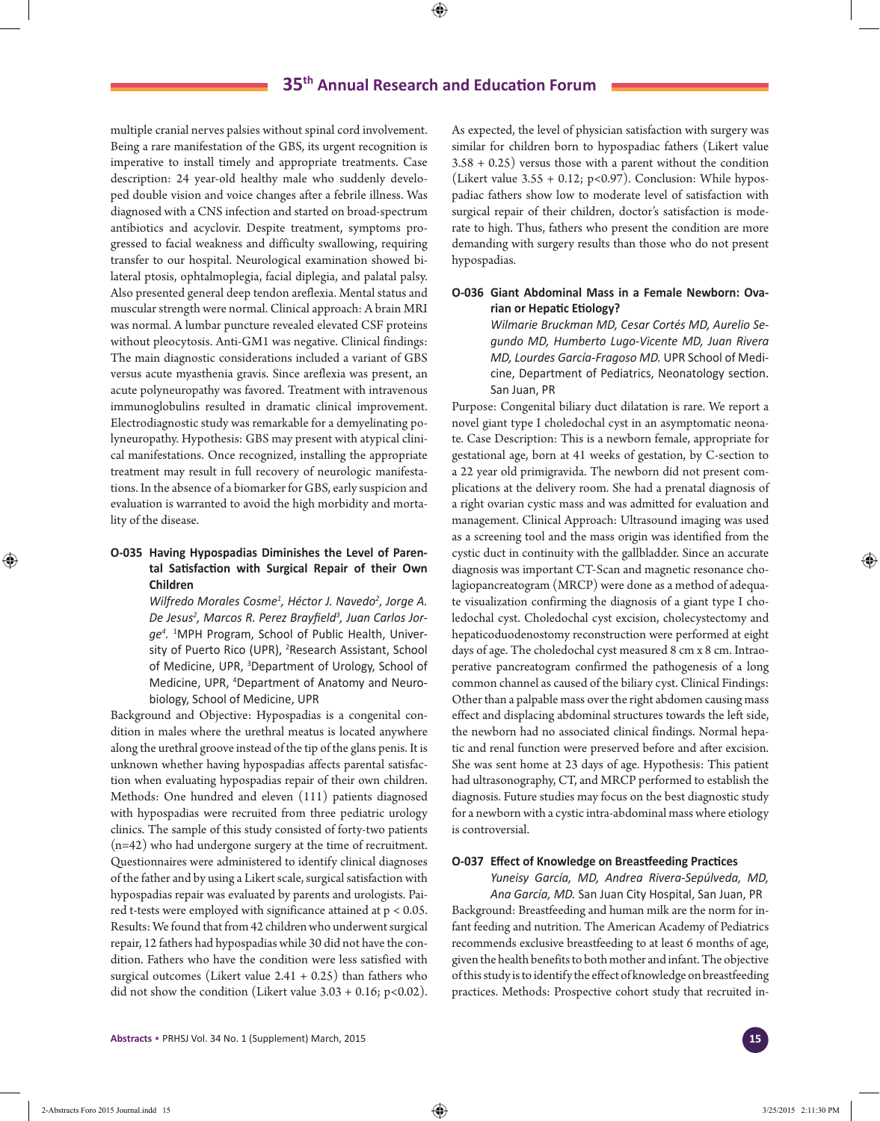multiple cranial nerves palsies without spinal cord involvement. Being a rare manifestation of the GBS, its urgent recognition is imperative to install timely and appropriate treatments. Case description: 24 year-old healthy male who suddenly developed double vision and voice changes after a febrile illness. Was diagnosed with a CNS infection and started on broad-spectrum antibiotics and acyclovir. Despite treatment, symptoms progressed to facial weakness and difficulty swallowing, requiring transfer to our hospital. Neurological examination showed bilateral ptosis, ophtalmoplegia, facial diplegia, and palatal palsy. Also presented general deep tendon areflexia. Mental status and muscular strength were normal. Clinical approach: A brain MRI was normal. A lumbar puncture revealed elevated CSF proteins without pleocytosis. Anti-GM1 was negative. Clinical findings: The main diagnostic considerations included a variant of GBS versus acute myasthenia gravis. Since areflexia was present, an acute polyneuropathy was favored. Treatment with intravenous immunoglobulins resulted in dramatic clinical improvement. Electrodiagnostic study was remarkable for a demyelinating polyneuropathy. Hypothesis: GBS may present with atypical clinical manifestations. Once recognized, installing the appropriate treatment may result in full recovery of neurologic manifestations. In the absence of a biomarker for GBS, early suspicion and evaluation is warranted to avoid the high morbidity and mortality of the disease.

# **O-035 Having Hypospadias Diminishes the Level of Parental Satisfaction with Surgical Repair of their Own Children**

*Wilfredo Morales Cosme1 , Héctor J. Navedo<sup>2</sup> , Jorge A. De Jesus2 , Marcos R. Perez Brayfield3 , Juan Carlos Jorge4 .* 1 MPH Program, School of Public Health, University of Puerto Rico (UPR), <sup>2</sup>Research Assistant, School of Medicine, UPR, <sup>3</sup>Department of Urology, School of Medicine, UPR, 4 Department of Anatomy and Neurobiology, School of Medicine, UPR

Background and Objective: Hypospadias is a congenital condition in males where the urethral meatus is located anywhere along the urethral groove instead of the tip of the glans penis. It is unknown whether having hypospadias affects parental satisfaction when evaluating hypospadias repair of their own children. Methods: One hundred and eleven (111) patients diagnosed with hypospadias were recruited from three pediatric urology clinics. The sample of this study consisted of forty-two patients (n=42) who had undergone surgery at the time of recruitment. Questionnaires were administered to identify clinical diagnoses of the father and by using a Likert scale, surgical satisfaction with hypospadias repair was evaluated by parents and urologists. Paired t-tests were employed with significance attained at p < 0.05. Results: We found that from 42 children who underwent surgical repair, 12 fathers had hypospadias while 30 did not have the condition. Fathers who have the condition were less satisfied with surgical outcomes (Likert value  $2.41 + 0.25$ ) than fathers who did not show the condition (Likert value  $3.03 + 0.16$ ; p<0.02). As expected, the level of physician satisfaction with surgery was similar for children born to hypospadiac fathers (Likert value 3.58 + 0.25) versus those with a parent without the condition (Likert value  $3.55 + 0.12$ ; p<0.97). Conclusion: While hypospadiac fathers show low to moderate level of satisfaction with surgical repair of their children, doctor's satisfaction is moderate to high. Thus, fathers who present the condition are more demanding with surgery results than those who do not present hypospadias.

### **O-036 Giant Abdominal Mass in a Female Newborn: Ovarian or Hepatic Etiology?**

*Wilmarie Bruckman MD, Cesar Cortés MD, Aurelio Segundo MD, Humberto Lugo-Vicente MD, Juan Rivera MD, Lourdes García-Fragoso MD.* UPR School of Medicine, Department of Pediatrics, Neonatology section. San Juan, PR

Purpose: Congenital biliary duct dilatation is rare. We report a novel giant type I choledochal cyst in an asymptomatic neonate. Case Description: This is a newborn female, appropriate for gestational age, born at 41 weeks of gestation, by C-section to a 22 year old primigravida. The newborn did not present complications at the delivery room. She had a prenatal diagnosis of a right ovarian cystic mass and was admitted for evaluation and management. Clinical Approach: Ultrasound imaging was used as a screening tool and the mass origin was identified from the cystic duct in continuity with the gallbladder. Since an accurate diagnosis was important CT-Scan and magnetic resonance cholagiopancreatogram (MRCP) were done as a method of adequate visualization confirming the diagnosis of a giant type I choledochal cyst. Choledochal cyst excision, cholecystectomy and hepaticoduodenostomy reconstruction were performed at eight days of age. The choledochal cyst measured 8 cm x 8 cm. Intraoperative pancreatogram confirmed the pathogenesis of a long common channel as caused of the biliary cyst. Clinical Findings: Other than a palpable mass over the right abdomen causing mass effect and displacing abdominal structures towards the left side, the newborn had no associated clinical findings. Normal hepatic and renal function were preserved before and after excision. She was sent home at 23 days of age. Hypothesis: This patient had ultrasonography, CT, and MRCP performed to establish the diagnosis. Future studies may focus on the best diagnostic study for a newborn with a cystic intra-abdominal mass where etiology is controversial.

#### **O-037 Effect of Knowledge on Breastfeeding Practices**

*Yuneisy García, MD, Andrea Rivera-Sepúlveda, MD, Ana García, MD.* San Juan City Hospital, San Juan, PR Background: Breastfeeding and human milk are the norm for infant feeding and nutrition. The American Academy of Pediatrics recommends exclusive breastfeeding to at least 6 months of age, given the health benefits to both mother and infant. The objective of this study is to identify the effect of knowledge on breastfeeding practices. Methods: Prospective cohort study that recruited in-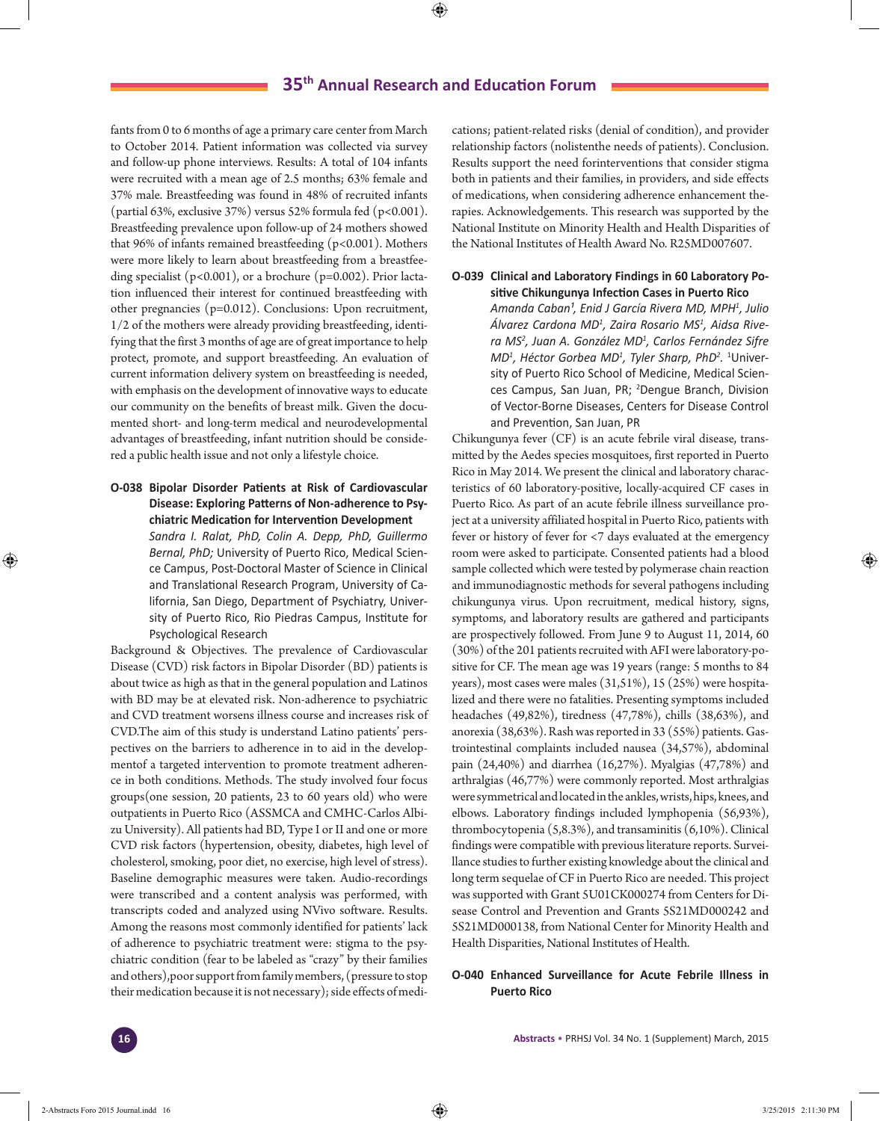fants from 0 to 6 months of age a primary care center from March to October 2014. Patient information was collected via survey and follow-up phone interviews. Results: A total of 104 infants were recruited with a mean age of 2.5 months; 63% female and 37% male. Breastfeeding was found in 48% of recruited infants (partial 63%, exclusive 37%) versus 52% formula fed (p<0.001). Breastfeeding prevalence upon follow-up of 24 mothers showed that 96% of infants remained breastfeeding  $(p<0.001)$ . Mothers were more likely to learn about breastfeeding from a breastfeeding specialist ( $p<0.001$ ), or a brochure ( $p=0.002$ ). Prior lactation influenced their interest for continued breastfeeding with other pregnancies (p=0.012). Conclusions: Upon recruitment, 1/2 of the mothers were already providing breastfeeding, identifying that the first 3 months of age are of great importance to help protect, promote, and support breastfeeding. An evaluation of current information delivery system on breastfeeding is needed, with emphasis on the development of innovative ways to educate our community on the benefits of breast milk. Given the documented short- and long-term medical and neurodevelopmental advantages of breastfeeding, infant nutrition should be considered a public health issue and not only a lifestyle choice.

**O-038 Bipolar Disorder Patients at Risk of Cardiovascular Disease: Exploring Patterns of Non-adherence to Psychiatric Medication for Intervention Development**

> *Sandra I. Ralat, PhD, Colin A. Depp, PhD, Guillermo Bernal, PhD;* University of Puerto Rico, Medical Science Campus, Post-Doctoral Master of Science in Clinical and Translational Research Program, University of California, San Diego, Department of Psychiatry, University of Puerto Rico, Rio Piedras Campus, Institute for Psychological Research

Background & Objectives. The prevalence of Cardiovascular Disease (CVD) risk factors in Bipolar Disorder (BD) patients is about twice as high as that in the general population and Latinos with BD may be at elevated risk. Non-adherence to psychiatric and CVD treatment worsens illness course and increases risk of CVD.The aim of this study is understand Latino patients' perspectives on the barriers to adherence in to aid in the developmentof a targeted intervention to promote treatment adherence in both conditions. Methods. The study involved four focus groups(one session, 20 patients, 23 to 60 years old) who were outpatients in Puerto Rico (ASSMCA and CMHC-Carlos Albizu University). All patients had BD, Type I or II and one or more CVD risk factors (hypertension, obesity, diabetes, high level of cholesterol, smoking, poor diet, no exercise, high level of stress). Baseline demographic measures were taken. Audio-recordings were transcribed and a content analysis was performed, with transcripts coded and analyzed using NVivo software. Results. Among the reasons most commonly identified for patients' lack of adherence to psychiatric treatment were: stigma to the psychiatric condition (fear to be labeled as "crazy" by their families and others),poor support from family members, (pressure to stop their medication because it is not necessary); side effects of medications; patient-related risks (denial of condition), and provider relationship factors (nolistenthe needs of patients). Conclusion. Results support the need forinterventions that consider stigma both in patients and their families, in providers, and side effects of medications, when considering adherence enhancement therapies. Acknowledgements. This research was supported by the National Institute on Minority Health and Health Disparities of the National Institutes of Health Award No. R25MD007607.

# **O-039 Clinical and Laboratory Findings in 60 Laboratory Po-**

**sitive Chikungunya Infection Cases in Puerto Rico**  *Amanda Caban¹, Enid J García Rivera MD, MPH1 , Julio Álvarez Cardona MD1 , Zaira Rosario MS1 , Aidsa Rivera MS2 , Juan A. González MD<sup>1</sup> , Carlos Fernández Sifre MD1 , Héctor Gorbea MD1 , Tyler Sharp, PhD<sup>2</sup> .* 1 University of Puerto Rico School of Medicine, Medical Sciences Campus, San Juan, PR; <sup>2</sup>Dengue Branch, Division of Vector-Borne Diseases, Centers for Disease Control and Prevention, San Juan, PR

Chikungunya fever (CF) is an acute febrile viral disease, transmitted by the Aedes species mosquitoes, first reported in Puerto Rico in May 2014. We present the clinical and laboratory characteristics of 60 laboratory-positive, locally-acquired CF cases in Puerto Rico. As part of an acute febrile illness surveillance project at a university affiliated hospital in Puerto Rico, patients with fever or history of fever for <7 days evaluated at the emergency room were asked to participate. Consented patients had a blood sample collected which were tested by polymerase chain reaction and immunodiagnostic methods for several pathogens including chikungunya virus. Upon recruitment, medical history, signs, symptoms, and laboratory results are gathered and participants are prospectively followed. From June 9 to August 11, 2014, 60 (30%) of the 201 patients recruited with AFI were laboratory-positive for CF. The mean age was 19 years (range: 5 months to 84 years), most cases were males (31,51%), 15 (25%) were hospitalized and there were no fatalities. Presenting symptoms included headaches (49,82%), tiredness (47,78%), chills (38,63%), and anorexia (38,63%). Rash was reported in 33 (55%) patients. Gastrointestinal complaints included nausea (34,57%), abdominal pain (24,40%) and diarrhea (16,27%). Myalgias (47,78%) and arthralgias (46,77%) were commonly reported. Most arthralgias were symmetrical and located in the ankles, wrists, hips, knees, and elbows. Laboratory findings included lymphopenia (56,93%), thrombocytopenia (5,8.3%), and transaminitis (6,10%). Clinical findings were compatible with previous literature reports. Surveillance studies to further existing knowledge about the clinical and long term sequelae of CF in Puerto Rico are needed. This project was supported with Grant 5U01CK000274 from Centers for Disease Control and Prevention and Grants 5S21MD000242 and 5S21MD000138, from National Center for Minority Health and Health Disparities, National Institutes of Health.

### **O-040 Enhanced Surveillance for Acute Febrile Illness in Puerto Rico**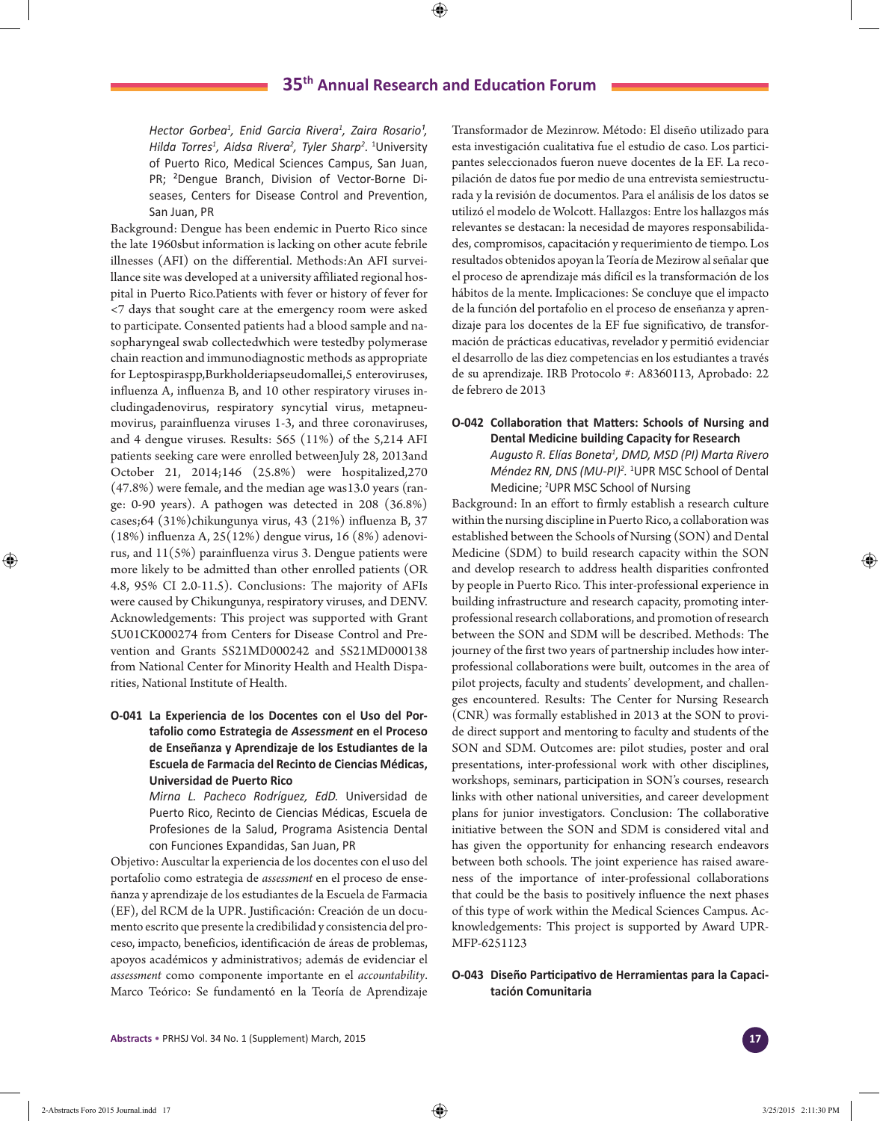*Hector Gorbea1 , Enid Garcia Rivera1 , Zaira Rosario¹, Hilda Torres1 , Aidsa Rivera2 , Tyler Sharp<sup>2</sup>* . 1 University of Puerto Rico, Medical Sciences Campus, San Juan, PR; ²Dengue Branch, Division of Vector-Borne Diseases, Centers for Disease Control and Prevention, San Juan, PR

Background: Dengue has been endemic in Puerto Rico since the late 1960sbut information is lacking on other acute febrile illnesses (AFI) on the differential. Methods:An AFI surveillance site was developed at a university affiliated regional hospital in Puerto Rico.Patients with fever or history of fever for <7 days that sought care at the emergency room were asked to participate. Consented patients had a blood sample and nasopharyngeal swab collectedwhich were testedby polymerase chain reaction and immunodiagnostic methods as appropriate for Leptospiraspp,Burkholderiapseudomallei,5 enteroviruses, influenza A, influenza B, and 10 other respiratory viruses includingadenovirus, respiratory syncytial virus, metapneumovirus, parainfluenza viruses 1-3, and three coronaviruses, and 4 dengue viruses. Results: 565 (11%) of the 5,214 AFI patients seeking care were enrolled betweenJuly 28, 2013and October 21, 2014;146 (25.8%) were hospitalized,270 (47.8%) were female, and the median age was13.0 years (range: 0-90 years). A pathogen was detected in 208 (36.8%) cases;64 (31%)chikungunya virus, 43 (21%) influenza B, 37 (18%) influenza A, 25(12%) dengue virus, 16 (8%) adenovirus, and  $11(5%)$  parainfluenza virus 3. Dengue patients were more likely to be admitted than other enrolled patients (OR 4.8, 95% CI 2.0-11.5). Conclusions: The majority of AFIs were caused by Chikungunya, respiratory viruses, and DENV. Acknowledgements: This project was supported with Grant 5U01CK000274 from Centers for Disease Control and Prevention and Grants 5S21MD000242 and 5S21MD000138 from National Center for Minority Health and Health Disparities, National Institute of Health.

**O-041 La Experiencia de los Docentes con el Uso del Portafolio como Estrategia de** *Assessment* **en el Proceso de Enseñanza y Aprendizaje de los Estudiantes de la Escuela de Farmacia del Recinto de Ciencias Médicas, Universidad de Puerto Rico**

> *Mirna L. Pacheco Rodríguez, EdD.* Universidad de Puerto Rico, Recinto de Ciencias Médicas, Escuela de Profesiones de la Salud, Programa Asistencia Dental con Funciones Expandidas, San Juan, PR

Objetivo: Auscultar la experiencia de los docentes con el uso del portafolio como estrategia de *assessment* en el proceso de enseñanza y aprendizaje de los estudiantes de la Escuela de Farmacia (EF), del RCM de la UPR. Justificación: Creación de un documento escrito que presente la credibilidad y consistencia del proceso, impacto, beneficios, identificación de áreas de problemas, apoyos académicos y administrativos; además de evidenciar el *assessment* como componente importante en el *accountability*. Marco Teórico: Se fundamentó en la Teoría de Aprendizaje

Transformador de Mezinrow. Método: El diseño utilizado para esta investigación cualitativa fue el estudio de caso. Los participantes seleccionados fueron nueve docentes de la EF. La recopilación de datos fue por medio de una entrevista semiestructurada y la revisión de documentos. Para el análisis de los datos se utilizó el modelo de Wolcott. Hallazgos: Entre los hallazgos más relevantes se destacan: la necesidad de mayores responsabilidades, compromisos, capacitación y requerimiento de tiempo. Los resultados obtenidos apoyan la Teoría de Mezirow al señalar que el proceso de aprendizaje más difícil es la transformación de los hábitos de la mente. Implicaciones: Se concluye que el impacto de la función del portafolio en el proceso de enseñanza y aprendizaje para los docentes de la EF fue significativo, de transformación de prácticas educativas, revelador y permitió evidenciar el desarrollo de las diez competencias en los estudiantes a través de su aprendizaje. IRB Protocolo #: A8360113, Aprobado: 22 de febrero de 2013

## **O-042 Collaboration that Matters: Schools of Nursing and Dental Medicine building Capacity for Research** *Augusto R. Elías Boneta1 , DMD, MSD (PI) Marta Rivero Méndez RN, DNS (MU-PI)<sup>2</sup> .* 1 UPR MSC School of Dental Medicine; <sup>2</sup>UPR MSC School of Nursing

Background: In an effort to firmly establish a research culture within the nursing discipline in Puerto Rico, a collaboration was established between the Schools of Nursing (SON) and Dental Medicine (SDM) to build research capacity within the SON and develop research to address health disparities confronted by people in Puerto Rico. This inter-professional experience in building infrastructure and research capacity, promoting interprofessional research collaborations, and promotion of research between the SON and SDM will be described. Methods: The journey of the first two years of partnership includes how interprofessional collaborations were built, outcomes in the area of pilot projects, faculty and students' development, and challenges encountered. Results: The Center for Nursing Research (CNR) was formally established in 2013 at the SON to provide direct support and mentoring to faculty and students of the SON and SDM. Outcomes are: pilot studies, poster and oral presentations, inter-professional work with other disciplines, workshops, seminars, participation in SON's courses, research links with other national universities, and career development plans for junior investigators. Conclusion: The collaborative initiative between the SON and SDM is considered vital and has given the opportunity for enhancing research endeavors between both schools. The joint experience has raised awareness of the importance of inter-professional collaborations that could be the basis to positively influence the next phases of this type of work within the Medical Sciences Campus. Acknowledgements: This project is supported by Award UPR-MFP-6251123

## **O-043 Diseño Participativo de Herramientas para la Capacitación Comunitaria**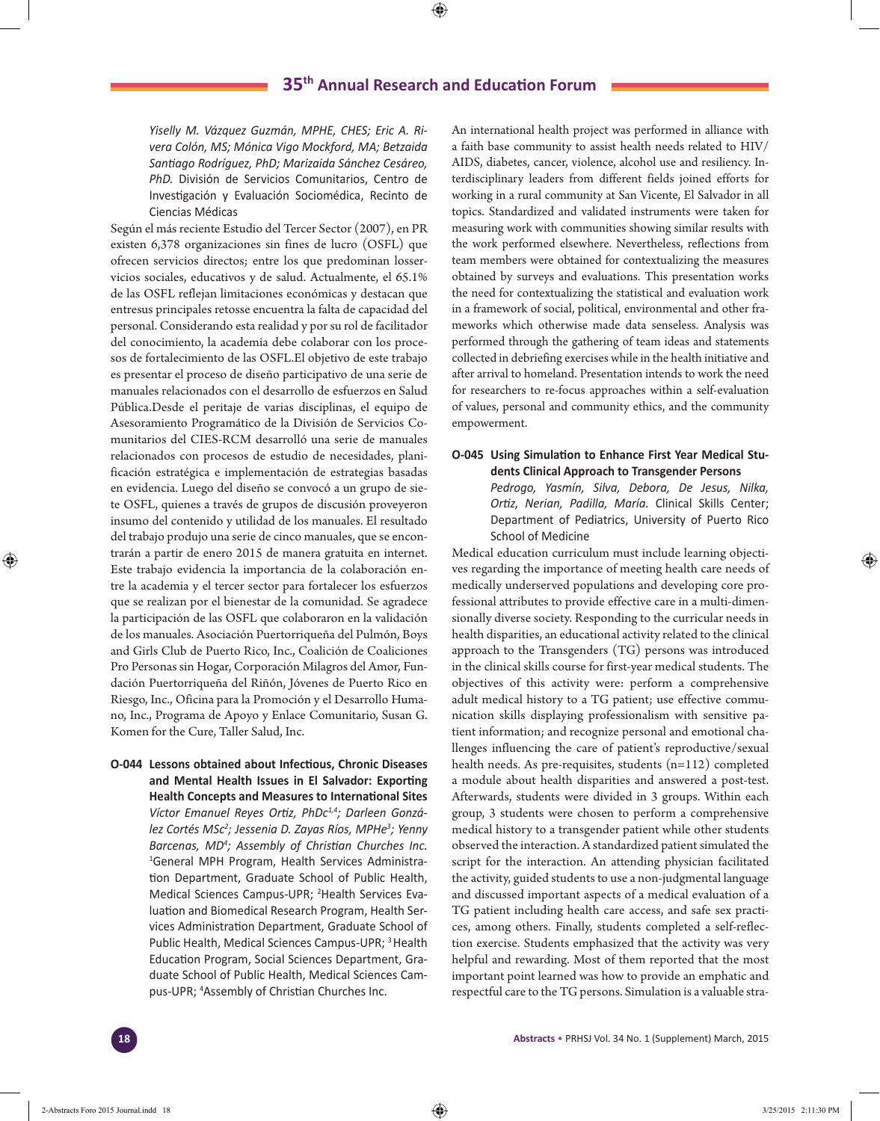*Yiselly M. Vázquez Guzmán, MPHE, CHES; Eric A. Rivera Colón, MS; Mónica Vigo Mockford, MA; Betzaida Santiago Rodríguez, PhD; Marizaida Sánchez Cesáreo, PhD.* División de Servicios Comunitarios, Centro de Investigación y Evaluación Sociomédica, Recinto de Ciencias Médicas

Según el más reciente Estudio del Tercer Sector (2007), en PR existen 6,378 organizaciones sin fines de lucro (OSFL) que ofrecen servicios directos; entre los que predominan losservicios sociales, educativos y de salud. Actualmente, el 65.1% de las OSFL reflejan limitaciones económicas y destacan que entresus principales retosse encuentra la falta de capacidad del personal. Considerando esta realidad y por su rol de facilitador del conocimiento, la academia debe colaborar con los procesos de fortalecimiento de las OSFL.El objetivo de este trabajo es presentar el proceso de diseño participativo de una serie de manuales relacionados con el desarrollo de esfuerzos en Salud Pública.Desde el peritaje de varias disciplinas, el equipo de Asesoramiento Programático de la División de Servicios Comunitarios del CIES-RCM desarrolló una serie de manuales relacionados con procesos de estudio de necesidades, planificación estratégica e implementación de estrategias basadas en evidencia. Luego del diseño se convocó a un grupo de siete OSFL, quienes a través de grupos de discusión proveyeron insumo del contenido y utilidad de los manuales. El resultado del trabajo produjo una serie de cinco manuales, que se encontrarán a partir de enero 2015 de manera gratuita en internet. Este trabajo evidencia la importancia de la colaboración entre la academia y el tercer sector para fortalecer los esfuerzos que se realizan por el bienestar de la comunidad. Se agradece la participación de las OSFL que colaboraron en la validación de los manuales. Asociación Puertorriqueña del Pulmón, Boys and Girls Club de Puerto Rico, Inc., Coalición de Coaliciones Pro Personas sin Hogar, Corporación Milagros del Amor, Fundación Puertorriqueña del Riñón, Jóvenes de Puerto Rico en Riesgo, Inc., Oficina para la Promoción y el Desarrollo Humano, Inc., Programa de Apoyo y Enlace Comunitario, Susan G. Komen for the Cure, Taller Salud, Inc.

**O-044 Lessons obtained about Infectious, Chronic Diseases and Mental Health Issues in El Salvador: Exporting Health Concepts and Measures to International Sites** *Víctor Emanuel Reyes Ortiz, PhDc1,4; Darleen González Cortés MSc2 ; Jessenia D. Zayas Ríos, MPHe<sup>3</sup> ; Yenny Barcenas, MD4 ; Assembly of Christian Churches Inc.* 1 General MPH Program, Health Services Administration Department, Graduate School of Public Health, Medical Sciences Campus-UPR; <sup>2</sup>Health Services Evaluation and Biomedical Research Program, Health Services Administration Department, Graduate School of Public Health, Medical Sciences Campus-UPR; 3 Health Education Program, Social Sciences Department, Graduate School of Public Health, Medical Sciences Campus-UPR; 4 Assembly of Christian Churches Inc.

An international health project was performed in alliance with a faith base community to assist health needs related to HIV/ AIDS, diabetes, cancer, violence, alcohol use and resiliency. Interdisciplinary leaders from different fields joined efforts for working in a rural community at San Vicente, El Salvador in all topics. Standardized and validated instruments were taken for measuring work with communities showing similar results with the work performed elsewhere. Nevertheless, reflections from team members were obtained for contextualizing the measures obtained by surveys and evaluations. This presentation works the need for contextualizing the statistical and evaluation work in a framework of social, political, environmental and other frameworks which otherwise made data senseless. Analysis was performed through the gathering of team ideas and statements collected in debriefing exercises while in the health initiative and after arrival to homeland. Presentation intends to work the need for researchers to re-focus approaches within a self-evaluation of values, personal and community ethics, and the community empowerment.

# **O-045 Using Simulation to Enhance First Year Medical Students Clinical Approach to Transgender Persons** *Pedrogo, Yasmín, Silva, Debora, De Jesus, Nilka, Ortiz, Nerian, Padilla, María.* Clinical Skills Center; Department of Pediatrics, University of Puerto Rico School of Medicine

Medical education curriculum must include learning objectives regarding the importance of meeting health care needs of medically underserved populations and developing core professional attributes to provide effective care in a multi-dimensionally diverse society. Responding to the curricular needs in health disparities, an educational activity related to the clinical approach to the Transgenders (TG) persons was introduced in the clinical skills course for first-year medical students. The objectives of this activity were: perform a comprehensive adult medical history to a TG patient; use effective communication skills displaying professionalism with sensitive patient information; and recognize personal and emotional challenges influencing the care of patient's reproductive/sexual health needs. As pre-requisites, students (n=112) completed a module about health disparities and answered a post-test. Afterwards, students were divided in 3 groups. Within each group, 3 students were chosen to perform a comprehensive medical history to a transgender patient while other students observed the interaction. A standardized patient simulated the script for the interaction. An attending physician facilitated the activity, guided students to use a non-judgmental language and discussed important aspects of a medical evaluation of a TG patient including health care access, and safe sex practices, among others. Finally, students completed a self-reflection exercise. Students emphasized that the activity was very helpful and rewarding. Most of them reported that the most important point learned was how to provide an emphatic and respectful care to the TG persons. Simulation is a valuable stra